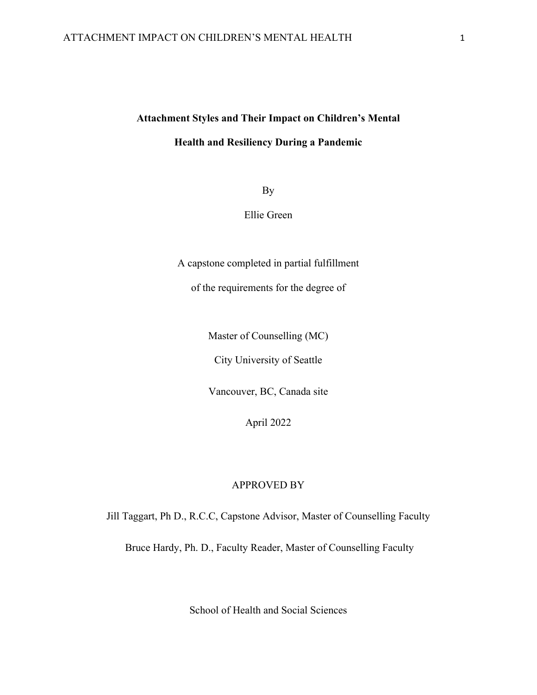# **Attachment Styles and Their Impact on Children's Mental Health and Resiliency During a Pandemic**

By

Ellie Green

A capstone completed in partial fulfillment

of the requirements for the degree of

Master of Counselling (MC)

City University of Seattle

Vancouver, BC, Canada site

April 2022

# APPROVED BY

Jill Taggart, Ph D., R.C.C, Capstone Advisor, Master of Counselling Faculty

Bruce Hardy, Ph. D., Faculty Reader, Master of Counselling Faculty

School of Health and Social Sciences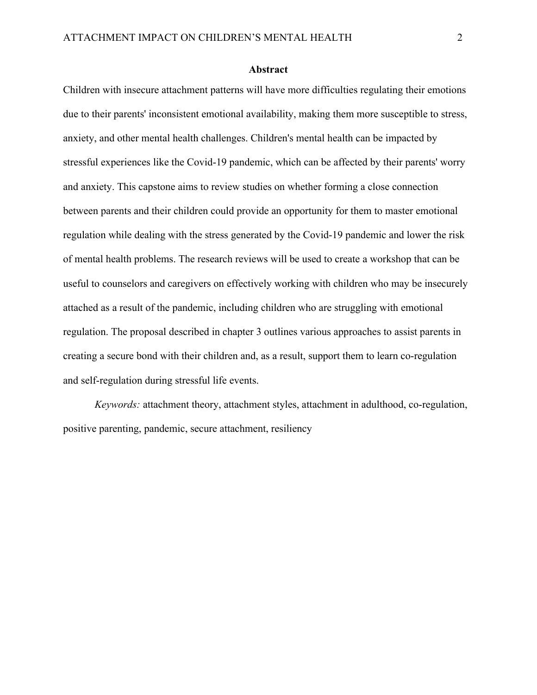#### **Abstract**

Children with insecure attachment patterns will have more difficulties regulating their emotions due to their parents' inconsistent emotional availability, making them more susceptible to stress, anxiety, and other mental health challenges. Children's mental health can be impacted by stressful experiences like the Covid-19 pandemic, which can be affected by their parents' worry and anxiety. This capstone aims to review studies on whether forming a close connection between parents and their children could provide an opportunity for them to master emotional regulation while dealing with the stress generated by the Covid-19 pandemic and lower the risk of mental health problems. The research reviews will be used to create a workshop that can be useful to counselors and caregivers on effectively working with children who may be insecurely attached as a result of the pandemic, including children who are struggling with emotional regulation. The proposal described in chapter 3 outlines various approaches to assist parents in creating a secure bond with their children and, as a result, support them to learn co-regulation and self-regulation during stressful life events.

*Keywords:* attachment theory, attachment styles, attachment in adulthood, co-regulation, positive parenting, pandemic, secure attachment, resiliency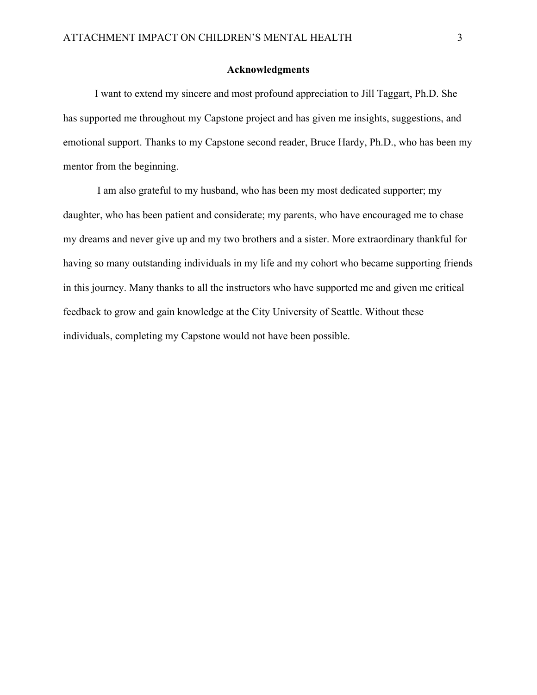# **Acknowledgments**

I want to extend my sincere and most profound appreciation to Jill Taggart, Ph.D. She has supported me throughout my Capstone project and has given me insights, suggestions, and emotional support. Thanks to my Capstone second reader, Bruce Hardy, Ph.D., who has been my mentor from the beginning.

I am also grateful to my husband, who has been my most dedicated supporter; my daughter, who has been patient and considerate; my parents, who have encouraged me to chase my dreams and never give up and my two brothers and a sister. More extraordinary thankful for having so many outstanding individuals in my life and my cohort who became supporting friends in this journey. Many thanks to all the instructors who have supported me and given me critical feedback to grow and gain knowledge at the City University of Seattle. Without these individuals, completing my Capstone would not have been possible.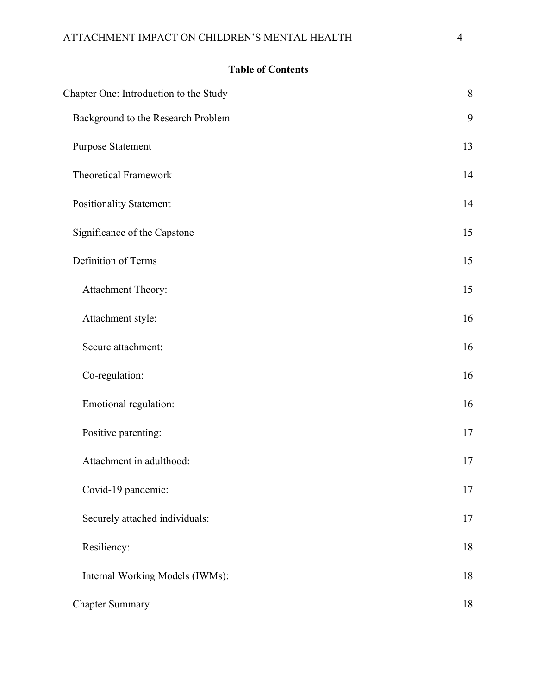# **Table of Contents**

| Chapter One: Introduction to the Study | $8\,$ |
|----------------------------------------|-------|
| Background to the Research Problem     | 9     |
| <b>Purpose Statement</b>               | 13    |
| <b>Theoretical Framework</b>           | 14    |
| <b>Positionality Statement</b>         | 14    |
| Significance of the Capstone           | 15    |
| Definition of Terms                    | 15    |
| Attachment Theory:                     | 15    |
| Attachment style:                      | 16    |
| Secure attachment:                     | 16    |
| Co-regulation:                         | 16    |
| Emotional regulation:                  | 16    |
| Positive parenting:                    | $17$  |
| Attachment in adulthood:               | 17    |
| Covid-19 pandemic:                     | 17    |
| Securely attached individuals:         | 17    |
| Resiliency:                            | 18    |
| Internal Working Models (IWMs):        | 18    |
| <b>Chapter Summary</b>                 | 18    |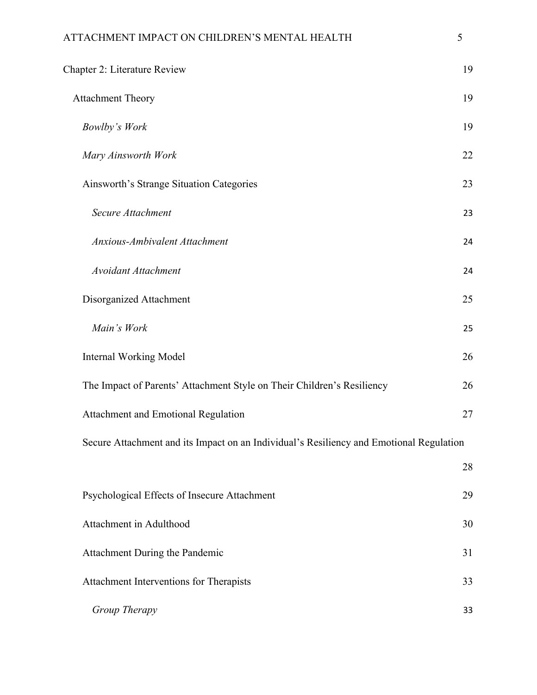|   | ٦       | I |  |
|---|---------|---|--|
|   |         |   |  |
|   |         |   |  |
|   |         | I |  |
| × | ۰.<br>v | ł |  |
|   |         |   |  |

| Chapter 2: Literature Review                                                            | 19 |
|-----------------------------------------------------------------------------------------|----|
| <b>Attachment Theory</b>                                                                | 19 |
| <b>Bowlby's Work</b>                                                                    | 19 |
| Mary Ainsworth Work                                                                     | 22 |
| Ainsworth's Strange Situation Categories                                                | 23 |
| Secure Attachment                                                                       | 23 |
| Anxious-Ambivalent Attachment                                                           | 24 |
| <b>Avoidant Attachment</b>                                                              | 24 |
| Disorganized Attachment                                                                 | 25 |
| Main's Work                                                                             | 25 |
| <b>Internal Working Model</b>                                                           | 26 |
| The Impact of Parents' Attachment Style on Their Children's Resiliency                  | 26 |
| Attachment and Emotional Regulation                                                     | 27 |
| Secure Attachment and its Impact on an Individual's Resiliency and Emotional Regulation |    |
|                                                                                         | 28 |
| Psychological Effects of Insecure Attachment                                            | 29 |
| Attachment in Adulthood                                                                 | 30 |
| Attachment During the Pandemic                                                          | 31 |
| Attachment Interventions for Therapists                                                 | 33 |
| Group Therapy                                                                           | 33 |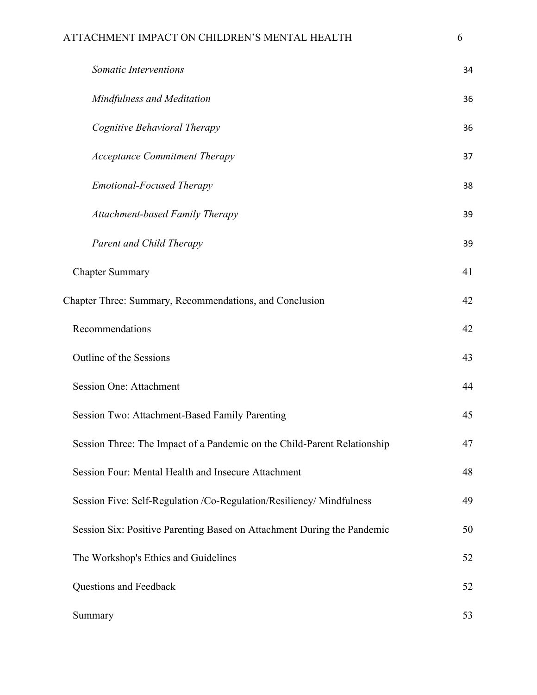|        | P. | ٠                |  |
|--------|----|------------------|--|
|        | v  |                  |  |
|        | H. |                  |  |
| t<br>× |    | I<br>I<br>I<br>٠ |  |
|        |    |                  |  |

|                        | Somatic Interventions                                                    | 34 |
|------------------------|--------------------------------------------------------------------------|----|
|                        | Mindfulness and Meditation                                               | 36 |
|                        | Cognitive Behavioral Therapy                                             | 36 |
|                        | <b>Acceptance Commitment Therapy</b>                                     | 37 |
|                        | <b>Emotional-Focused Therapy</b>                                         | 38 |
|                        | <b>Attachment-based Family Therapy</b>                                   | 39 |
|                        | Parent and Child Therapy                                                 | 39 |
| <b>Chapter Summary</b> |                                                                          | 41 |
|                        | Chapter Three: Summary, Recommendations, and Conclusion                  | 42 |
| Recommendations        |                                                                          | 42 |
|                        | Outline of the Sessions                                                  | 43 |
|                        | <b>Session One: Attachment</b>                                           | 44 |
|                        | <b>Session Two: Attachment-Based Family Parenting</b>                    | 45 |
|                        | Session Three: The Impact of a Pandemic on the Child-Parent Relationship | 47 |
|                        | Session Four: Mental Health and Insecure Attachment                      | 48 |
|                        | Session Five: Self-Regulation /Co-Regulation/Resiliency/ Mindfulness     | 49 |
|                        | Session Six: Positive Parenting Based on Attachment During the Pandemic  | 50 |
|                        | The Workshop's Ethics and Guidelines                                     | 52 |
|                        | Questions and Feedback                                                   | 52 |
| Summary                |                                                                          | 53 |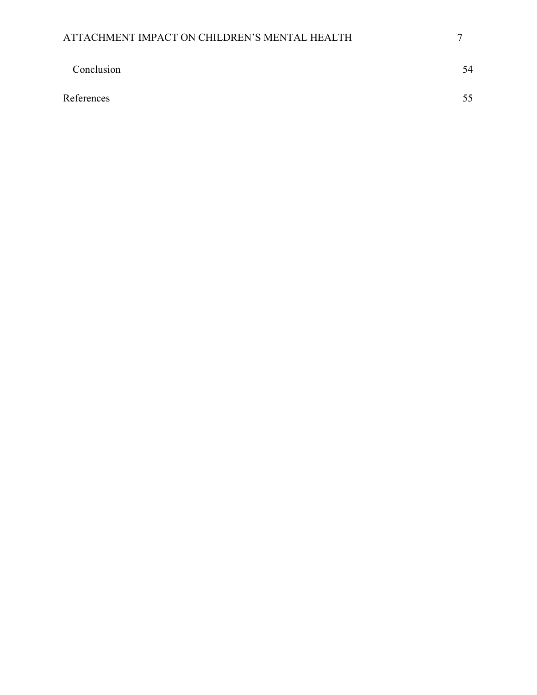<span id="page-6-0"></span>

| ATTACHMENT IMPACT ON CHILDREN'S MENTAL HEALTH |    |
|-----------------------------------------------|----|
| Conclusion                                    | 54 |
| References                                    | 55 |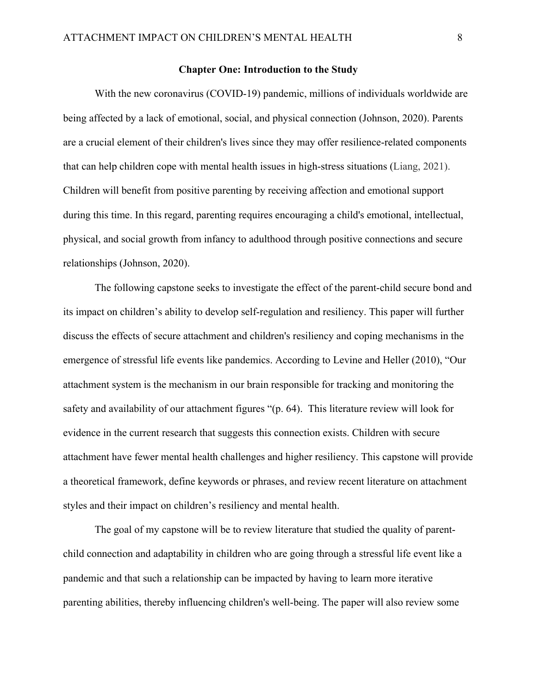#### **Chapter One: Introduction to the Study**

With the new coronavirus (COVID-19) pandemic, millions of individuals worldwide are being affected by a lack of emotional, social, and physical connection (Johnson, 2020). Parents are a crucial element of their children's lives since they may offer resilience-related components that can help children cope with mental health issues in high-stress situations (Liang, 2021). Children will benefit from positive parenting by receiving affection and emotional support during this time. In this regard, parenting requires encouraging a child's emotional, intellectual, physical, and social growth from infancy to adulthood through positive connections and secure relationships (Johnson, 2020).

The following capstone seeks to investigate the effect of the parent-child secure bond and its impact on children's ability to develop self-regulation and resiliency. This paper will further discuss the effects of secure attachment and children's resiliency and coping mechanisms in the emergence of stressful life events like pandemics. According to Levine and Heller (2010), "Our attachment system is the mechanism in our brain responsible for tracking and monitoring the safety and availability of our attachment figures "(p. 64). This literature review will look for evidence in the current research that suggests this connection exists. Children with secure attachment have fewer mental health challenges and higher resiliency. This capstone will provide a theoretical framework, define keywords or phrases, and review recent literature on attachment styles and their impact on children's resiliency and mental health.

The goal of my capstone will be to review literature that studied the quality of parentchild connection and adaptability in children who are going through a stressful life event like a pandemic and that such a relationship can be impacted by having to learn more iterative parenting abilities, thereby influencing children's well-being. The paper will also review some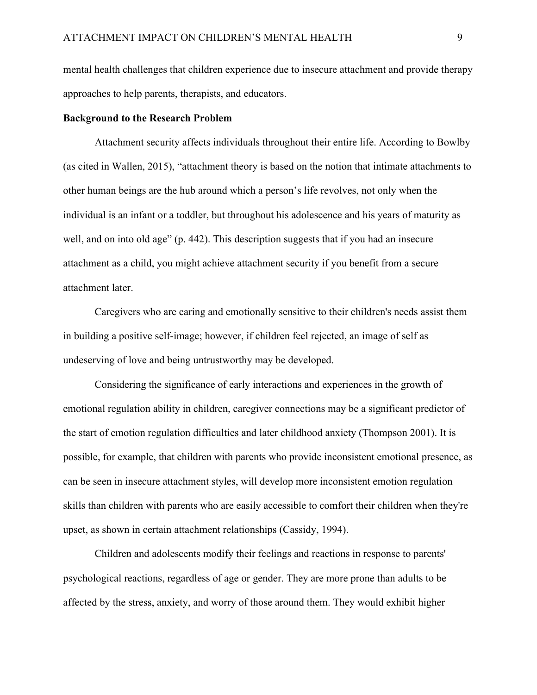mental health challenges that children experience due to insecure attachment and provide therapy approaches to help parents, therapists, and educators.

# <span id="page-8-0"></span>**Background to the Research Problem**

Attachment security affects individuals throughout their entire life. According to Bowlby (as cited in Wallen, 2015), "attachment theory is based on the notion that intimate attachments to other human beings are the hub around which a person's life revolves, not only when the individual is an infant or a toddler, but throughout his adolescence and his years of maturity as well, and on into old age" (p. 442). This description suggests that if you had an insecure attachment as a child, you might achieve attachment security if you benefit from a secure attachment later.

Caregivers who are caring and emotionally sensitive to their children's needs assist them in building a positive self-image; however, if children feel rejected, an image of self as undeserving of love and being untrustworthy may be developed.

Considering the significance of early interactions and experiences in the growth of emotional regulation ability in children, caregiver connections may be a significant predictor of the start of emotion regulation difficulties and later childhood anxiety (Thompson 2001). It is possible, for example, that children with parents who provide inconsistent emotional presence, as can be seen in insecure attachment styles, will develop more inconsistent emotion regulation skills than children with parents who are easily accessible to comfort their children when they're upset, as shown in certain attachment relationships (Cassidy, 1994).

Children and adolescents modify their feelings and reactions in response to parents' psychological reactions, regardless of age or gender. They are more prone than adults to be affected by the stress, anxiety, and worry of those around them. They would exhibit higher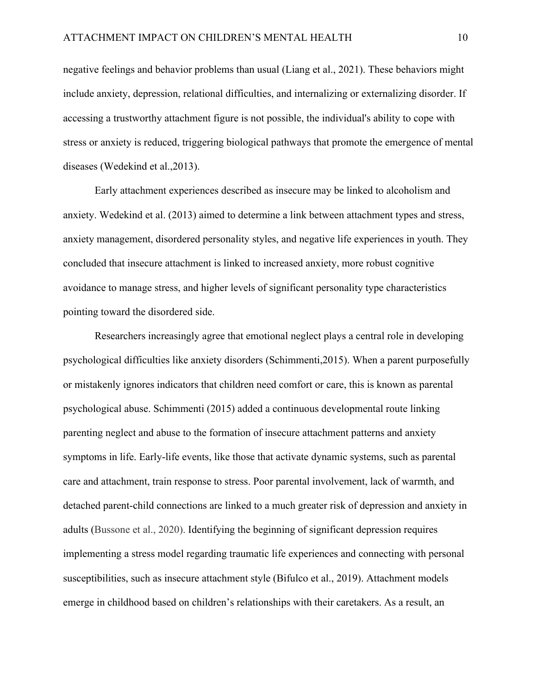negative feelings and behavior problems than usual (Liang et al., 2021). These behaviors might include anxiety, depression, relational difficulties, and internalizing or externalizing disorder. If accessing a trustworthy attachment figure is not possible, the individual's ability to cope with stress or anxiety is reduced, triggering biological pathways that promote the emergence of mental diseases (Wedekind et al.,2013).

Early attachment experiences described as insecure may be linked to alcoholism and anxiety. Wedekind et al. (2013) aimed to determine a link between attachment types and stress, anxiety management, disordered personality styles, and negative life experiences in youth. They concluded that insecure attachment is linked to increased anxiety, more robust cognitive avoidance to manage stress, and higher levels of significant personality type characteristics pointing toward the disordered side.

Researchers increasingly agree that emotional neglect plays a central role in developing psychological difficulties like anxiety disorders (Schimmenti,2015). When a parent purposefully or mistakenly ignores indicators that children need comfort or care, this is known as parental psychological abuse. Schimmenti (2015) added a continuous developmental route linking parenting neglect and abuse to the formation of insecure attachment patterns and anxiety symptoms in life. Early-life events, like those that activate dynamic systems, such as parental care and attachment, train response to stress. Poor parental involvement, lack of warmth, and detached parent-child connections are linked to a much greater risk of depression and anxiety in adults (Bussone et al., 2020). Identifying the beginning of significant depression requires implementing a stress model regarding traumatic life experiences and connecting with personal susceptibilities, such as insecure attachment style (Bifulco et al., 2019). Attachment models emerge in childhood based on children's relationships with their caretakers. As a result, an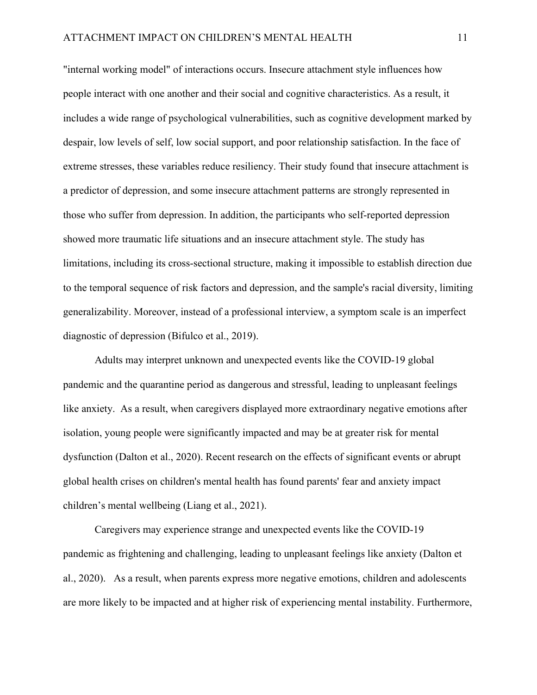"internal working model" of interactions occurs. Insecure attachment style influences how people interact with one another and their social and cognitive characteristics. As a result, it includes a wide range of psychological vulnerabilities, such as cognitive development marked by despair, low levels of self, low social support, and poor relationship satisfaction. In the face of extreme stresses, these variables reduce resiliency. Their study found that insecure attachment is a predictor of depression, and some insecure attachment patterns are strongly represented in those who suffer from depression. In addition, the participants who self-reported depression showed more traumatic life situations and an insecure attachment style. The study has limitations, including its cross-sectional structure, making it impossible to establish direction due to the temporal sequence of risk factors and depression, and the sample's racial diversity, limiting generalizability. Moreover, instead of a professional interview, a symptom scale is an imperfect diagnostic of depression (Bifulco et al., 2019).

Adults may interpret unknown and unexpected events like the COVID-19 global pandemic and the quarantine period as dangerous and stressful, leading to unpleasant feelings like anxiety. As a result, when caregivers displayed more extraordinary negative emotions after isolation, young people were significantly impacted and may be at greater risk for mental dysfunction (Dalton et al., 2020). Recent research on the effects of significant events or abrupt global health crises on children's mental health has found parents' fear and anxiety impact children's mental wellbeing (Liang et al., 2021).

Caregivers may experience strange and unexpected events like the COVID-19 pandemic as frightening and challenging, leading to unpleasant feelings like anxiety (Dalton et al., 2020). As a result, when parents express more negative emotions, children and adolescents are more likely to be impacted and at higher risk of experiencing mental instability. Furthermore,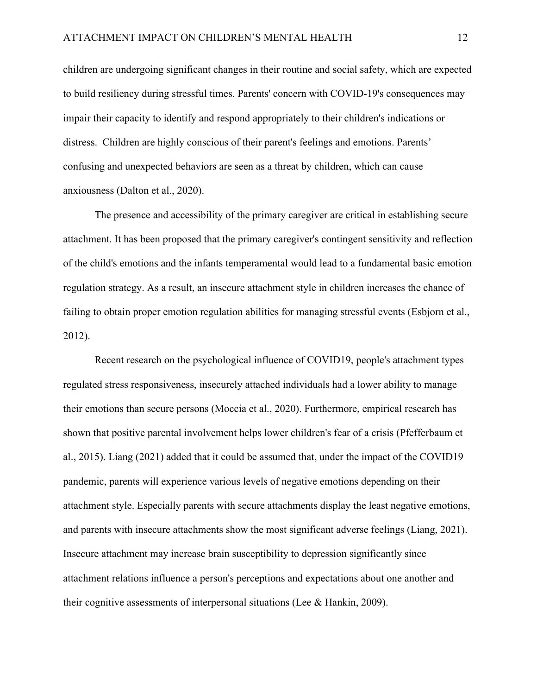children are undergoing significant changes in their routine and social safety, which are expected to build resiliency during stressful times. Parents' concern with COVID-19's consequences may impair their capacity to identify and respond appropriately to their children's indications or distress. Children are highly conscious of their parent's feelings and emotions. Parents' confusing and unexpected behaviors are seen as a threat by children, which can cause anxiousness (Dalton et al., 2020).

The presence and accessibility of the primary caregiver are critical in establishing secure attachment. It has been proposed that the primary caregiver's contingent sensitivity and reflection of the child's emotions and the infants temperamental would lead to a fundamental basic emotion regulation strategy. As a result, an insecure attachment style in children increases the chance of failing to obtain proper emotion regulation abilities for managing stressful events (Esbjorn et al., 2012).

Recent research on the psychological influence of COVID19, people's attachment types regulated stress responsiveness, insecurely attached individuals had a lower ability to manage their emotions than secure persons (Moccia et al., 2020). Furthermore, empirical research has shown that positive parental involvement helps lower children's fear of a crisis (Pfefferbaum et al., 2015). Liang (2021) added that it could be assumed that, under the impact of the COVID19 pandemic, parents will experience various levels of negative emotions depending on their attachment style. Especially parents with secure attachments display the least negative emotions, and parents with insecure attachments show the most significant adverse feelings (Liang, 2021). Insecure attachment may increase brain susceptibility to depression significantly since attachment relations influence a person's perceptions and expectations about one another and their cognitive assessments of interpersonal situations (Lee & Hankin, 2009).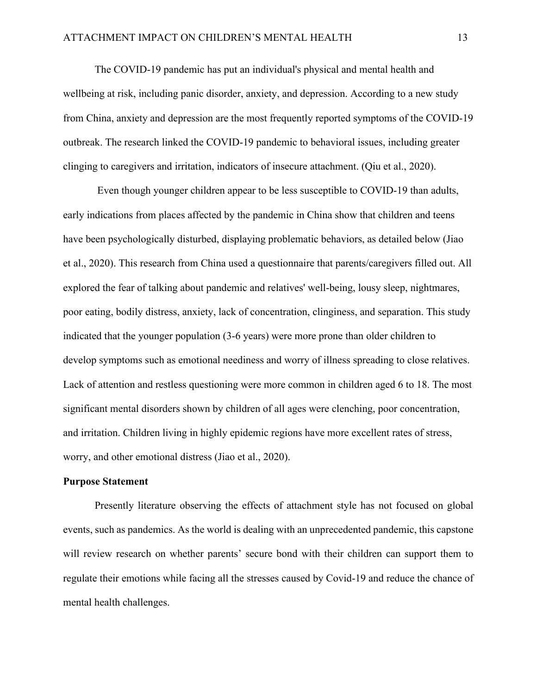The COVID-19 pandemic has put an individual's physical and mental health and wellbeing at risk, including panic disorder, anxiety, and depression. According to a new study from China, anxiety and depression are the most frequently reported symptoms of the COVID-19 outbreak. The research linked the COVID-19 pandemic to behavioral issues, including greater clinging to caregivers and irritation, indicators of insecure attachment. (Qiu et al., 2020).

 Even though younger children appear to be less susceptible to COVID-19 than adults, early indications from places affected by the pandemic in China show that children and teens have been psychologically disturbed, displaying problematic behaviors, as detailed below (Jiao et al., 2020). This research from China used a questionnaire that parents/caregivers filled out. All explored the fear of talking about pandemic and relatives' well-being, lousy sleep, nightmares, poor eating, bodily distress, anxiety, lack of concentration, clinginess, and separation. This study indicated that the younger population (3-6 years) were more prone than older children to develop symptoms such as emotional neediness and worry of illness spreading to close relatives. Lack of attention and restless questioning were more common in children aged 6 to 18. The most significant mental disorders shown by children of all ages were clenching, poor concentration, and irritation. Children living in highly epidemic regions have more excellent rates of stress, worry, and other emotional distress (Jiao et al., 2020).

#### <span id="page-12-0"></span>**Purpose Statement**

Presently literature observing the effects of attachment style has not focused on global events, such as pandemics. As the world is dealing with an unprecedented pandemic, this capstone will review research on whether parents' secure bond with their children can support them to regulate their emotions while facing all the stresses caused by Covid-19 and reduce the chance of mental health challenges.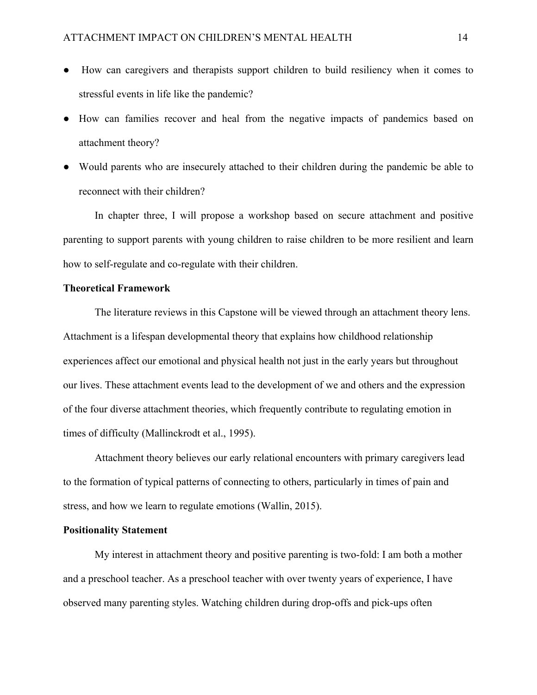- How can caregivers and therapists support children to build resiliency when it comes to stressful events in life like the pandemic?
- How can families recover and heal from the negative impacts of pandemics based on attachment theory?
- Would parents who are insecurely attached to their children during the pandemic be able to reconnect with their children?

In chapter three, I will propose a workshop based on secure attachment and positive parenting to support parents with young children to raise children to be more resilient and learn how to self-regulate and co-regulate with their children.

# <span id="page-13-0"></span>**Theoretical Framework**

The literature reviews in this Capstone will be viewed through an attachment theory lens. Attachment is a lifespan developmental theory that explains how childhood relationship experiences affect our emotional and physical health not just in the early years but throughout our lives. These attachment events lead to the development of we and others and the expression of the four diverse attachment theories, which frequently contribute to regulating emotion in times of difficulty (Mallinckrodt et al., 1995).

Attachment theory believes our early relational encounters with primary caregivers lead to the formation of typical patterns of connecting to others, particularly in times of pain and stress, and how we learn to regulate emotions (Wallin, 2015).

# <span id="page-13-1"></span>**Positionality Statement**

My interest in attachment theory and positive parenting is two-fold: I am both a mother and a preschool teacher. As a preschool teacher with over twenty years of experience, I have observed many parenting styles. Watching children during drop-offs and pick-ups often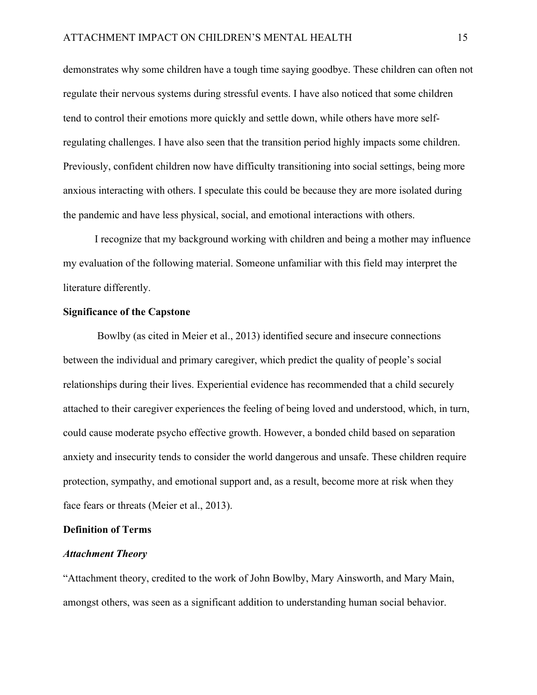demonstrates why some children have a tough time saying goodbye. These children can often not regulate their nervous systems during stressful events. I have also noticed that some children tend to control their emotions more quickly and settle down, while others have more selfregulating challenges. I have also seen that the transition period highly impacts some children. Previously, confident children now have difficulty transitioning into social settings, being more anxious interacting with others. I speculate this could be because they are more isolated during the pandemic and have less physical, social, and emotional interactions with others.

I recognize that my background working with children and being a mother may influence my evaluation of the following material. Someone unfamiliar with this field may interpret the literature differently.

# <span id="page-14-0"></span>**Significance of the Capstone**

Bowlby (as cited in Meier et al., 2013) identified secure and insecure connections between the individual and primary caregiver, which predict the quality of people's social relationships during their lives. Experiential evidence has recommended that a child securely attached to their caregiver experiences the feeling of being loved and understood, which, in turn, could cause moderate psycho effective growth. However, a bonded child based on separation anxiety and insecurity tends to consider the world dangerous and unsafe. These children require protection, sympathy, and emotional support and, as a result, become more at risk when they face fears or threats (Meier et al., 2013).

# <span id="page-14-1"></span>**Definition of Terms**

# <span id="page-14-2"></span>*Attachment Theory*

"Attachment theory, credited to the work of John Bowlby, Mary Ainsworth, and Mary Main, amongst others, was seen as a significant addition to understanding human social behavior.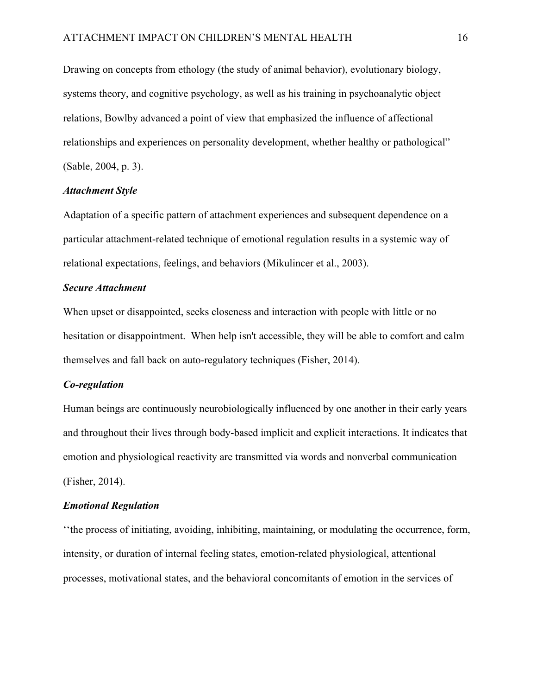Drawing on concepts from ethology (the study of animal behavior), evolutionary biology, systems theory, and cognitive psychology, as well as his training in psychoanalytic object relations, Bowlby advanced a point of view that emphasized the influence of affectional relationships and experiences on personality development, whether healthy or pathological" (Sable, 2004, p. 3).

# <span id="page-15-0"></span>*Attachment Style*

Adaptation of a specific pattern of attachment experiences and subsequent dependence on a particular attachment-related technique of emotional regulation results in a systemic way of relational expectations, feelings, and behaviors (Mikulincer et al., 2003).

### <span id="page-15-1"></span>*Secure Attachment*

When upset or disappointed, seeks closeness and interaction with people with little or no hesitation or disappointment. When help isn't accessible, they will be able to comfort and calm themselves and fall back on auto-regulatory techniques (Fisher, 2014).

#### <span id="page-15-2"></span>*Co-regulation*

Human beings are continuously neurobiologically influenced by one another in their early years and throughout their lives through body-based implicit and explicit interactions. It indicates that emotion and physiological reactivity are transmitted via words and nonverbal communication (Fisher, 2014).

### <span id="page-15-3"></span>*Emotional Regulation*

''the process of initiating, avoiding, inhibiting, maintaining, or modulating the occurrence, form, intensity, or duration of internal feeling states, emotion-related physiological, attentional processes, motivational states, and the behavioral concomitants of emotion in the services of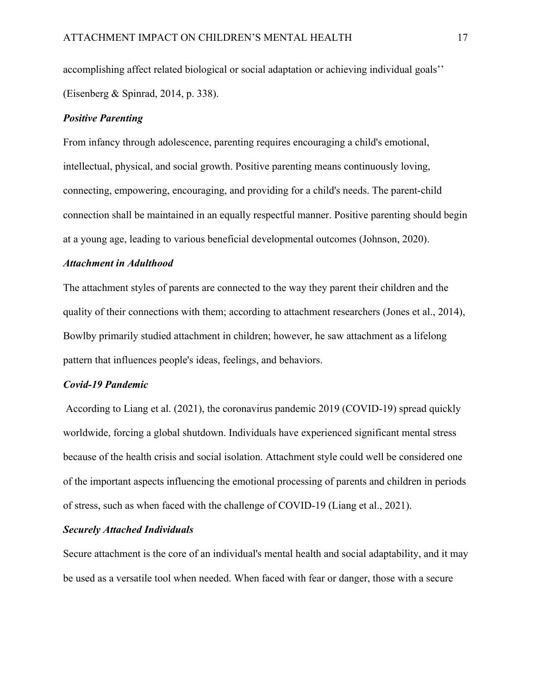accomplishing affect related biological or social adaptation or achieving individual goals'' (Eisenberg & Spinrad, 2014, p. 338).

# <span id="page-16-0"></span>*Positive Parenting*

From infancy through adolescence, parenting requires encouraging a child's emotional, intellectual, physical, and social growth. Positive parenting means continuously loving, connecting, empowering, encouraging, and providing for a child's needs. The parent-child connection shall be maintained in an equally respectful manner. Positive parenting should begin at a young age, leading to various beneficial developmental outcomes (Johnson, 2020).

# <span id="page-16-1"></span>*Attachment in Adulthood*

The attachment styles of parents are connected to the way they parent their children and the quality of their connections with them; according to attachment researchers (Jones et al., 2014), Bowlby primarily studied attachment in children; however, he saw attachment as a lifelong pattern that influences people's ideas, feelings, and behaviors.

#### <span id="page-16-2"></span>*Covid-19 Pandemic*

According to Liang et al. (2021), the coronavirus pandemic 2019 (COVID-19) spread quickly worldwide, forcing a global shutdown. Individuals have experienced significant mental stress because of the health crisis and social isolation. Attachment style could well be considered one of the important aspects influencing the emotional processing of parents and children in periods of stress, such as when faced with the challenge of COVID-19 (Liang et al., 2021).

# <span id="page-16-3"></span>*Securely Attached Individuals*

Secure attachment is the core of an individual's mental health and social adaptability, and it may be used as a versatile tool when needed. When faced with fear or danger, those with a secure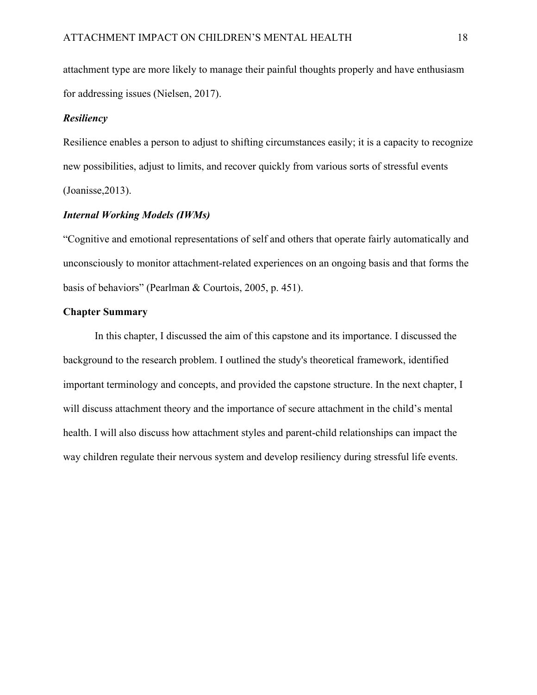attachment type are more likely to manage their painful thoughts properly and have enthusiasm for addressing issues (Nielsen, 2017).

# <span id="page-17-0"></span>*Resiliency*

Resilience enables a person to adjust to shifting circumstances easily; it is a capacity to recognize new possibilities, adjust to limits, and recover quickly from various sorts of stressful events (Joanisse,2013).

# <span id="page-17-1"></span>*Internal Working Models (IWMs)*

"Cognitive and emotional representations of self and others that operate fairly automatically and unconsciously to monitor attachment-related experiences on an ongoing basis and that forms the basis of behaviors" (Pearlman & Courtois, 2005, p. 451).

# <span id="page-17-2"></span>**Chapter Summary**

In this chapter, I discussed the aim of this capstone and its importance. I discussed the background to the research problem. I outlined the study's theoretical framework, identified important terminology and concepts, and provided the capstone structure. In the next chapter, I will discuss attachment theory and the importance of secure attachment in the child's mental health. I will also discuss how attachment styles and parent-child relationships can impact the way children regulate their nervous system and develop resiliency during stressful life events.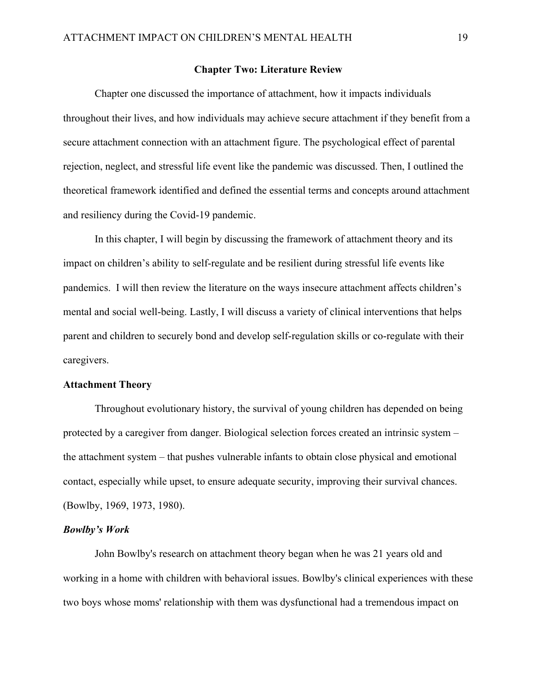#### **Chapter Two: Literature Review**

<span id="page-18-0"></span>Chapter one discussed the importance of attachment, how it impacts individuals throughout their lives, and how individuals may achieve secure attachment if they benefit from a secure attachment connection with an attachment figure. The psychological effect of parental rejection, neglect, and stressful life event like the pandemic was discussed. Then, I outlined the theoretical framework identified and defined the essential terms and concepts around attachment and resiliency during the Covid-19 pandemic.

In this chapter, I will begin by discussing the framework of attachment theory and its impact on children's ability to self-regulate and be resilient during stressful life events like pandemics. I will then review the literature on the ways insecure attachment affects children's mental and social well-being. Lastly, I will discuss a variety of clinical interventions that helps parent and children to securely bond and develop self-regulation skills or co-regulate with their caregivers.

#### <span id="page-18-1"></span>**Attachment Theory**

Throughout evolutionary history, the survival of young children has depended on being protected by a caregiver from danger. Biological selection forces created an intrinsic system – the attachment system – that pushes vulnerable infants to obtain close physical and emotional contact, especially while upset, to ensure adequate security, improving their survival chances. (Bowlby, 1969, 1973, 1980).

#### <span id="page-18-2"></span>*Bowlby's Work*

John Bowlby's research on attachment theory began when he was 21 years old and working in a home with children with behavioral issues. Bowlby's clinical experiences with these two boys whose moms' relationship with them was dysfunctional had a tremendous impact on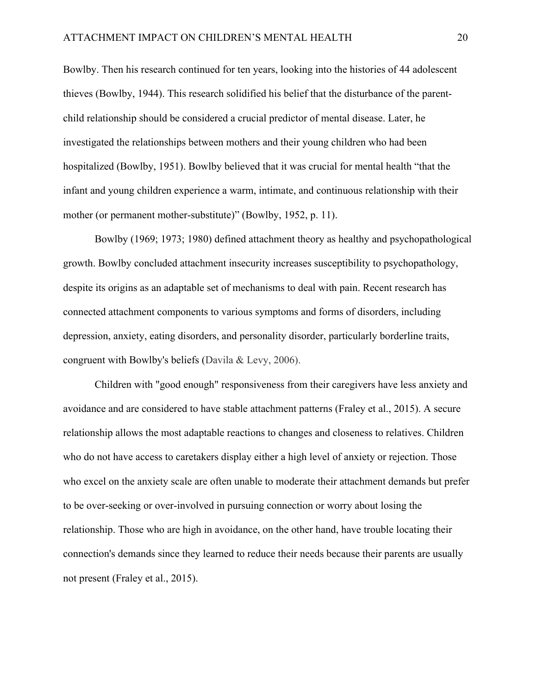Bowlby. Then his research continued for ten years, looking into the histories of 44 adolescent thieves (Bowlby, 1944). This research solidified his belief that the disturbance of the parentchild relationship should be considered a crucial predictor of mental disease. Later, he investigated the relationships between mothers and their young children who had been hospitalized (Bowlby, 1951). Bowlby believed that it was crucial for mental health "that the infant and young children experience a warm, intimate, and continuous relationship with their mother (or permanent mother-substitute)" [\(Bowlby, 1952,](https://www.proquest.com/docview/1762358755?pq-origsite=summon#REF_c32) p. 11).

Bowlby (1969; 1973; 1980) defined attachment theory as healthy and psychopathological growth. Bowlby concluded attachment insecurity increases susceptibility to psychopathology, despite its origins as an adaptable set of mechanisms to deal with pain. Recent research has connected attachment components to various symptoms and forms of disorders, including depression, anxiety, eating disorders, and personality disorder, particularly borderline traits, congruent with Bowlby's beliefs (Davila & Levy, 2006).

Children with "good enough" responsiveness from their caregivers have less anxiety and avoidance and are considered to have stable attachment patterns (Fraley et al., 2015). A secure relationship allows the most adaptable reactions to changes and closeness to relatives. Children who do not have access to caretakers display either a high level of anxiety or rejection. Those who excel on the anxiety scale are often unable to moderate their attachment demands but prefer to be over-seeking or over-involved in pursuing connection or worry about losing the relationship. Those who are high in avoidance, on the other hand, have trouble locating their connection's demands since they learned to reduce their needs because their parents are usually not present (Fraley et al., 2015).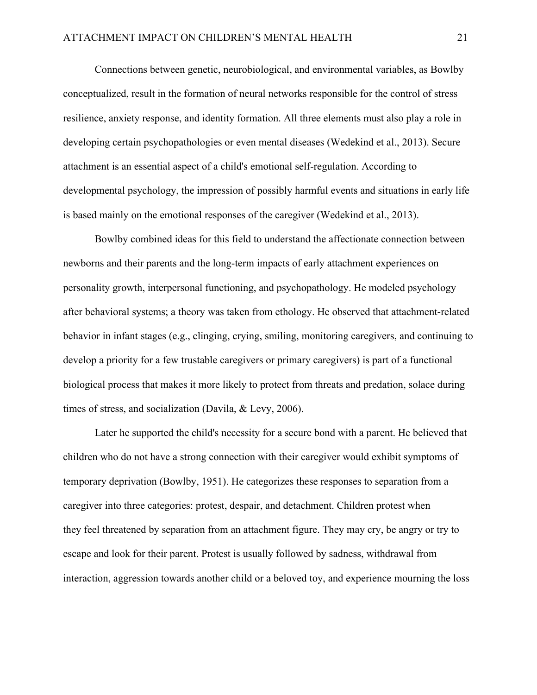Connections between genetic, neurobiological, and environmental variables, as Bowlby conceptualized, result in the formation of neural networks responsible for the control of stress resilience, anxiety response, and identity formation. All three elements must also play a role in developing certain psychopathologies or even mental diseases (Wedekind et al., 2013). Secure attachment is an essential aspect of a child's emotional self-regulation. According to developmental psychology, the impression of possibly harmful events and situations in early life is based mainly on the emotional responses of the caregiver (Wedekind et al., 2013).

Bowlby combined ideas for this field to understand the affectionate connection between newborns and their parents and the long-term impacts of early attachment experiences on personality growth, interpersonal functioning, and psychopathology. He modeled psychology after behavioral systems; a theory was taken from ethology. He observed that attachment-related behavior in infant stages (e.g., clinging, crying, smiling, monitoring caregivers, and continuing to develop a priority for a few trustable caregivers or primary caregivers) is part of a functional biological process that makes it more likely to protect from threats and predation, solace during times of stress, and socialization (Davila, & Levy, 2006).

Later he supported the child's necessity for a secure bond with a parent. He believed that children who do not have a strong connection with their caregiver would exhibit symptoms of temporary deprivation (Bowlby, 1951). He categorizes these responses to separation from a caregiver into three categories: protest, despair, and detachment. Children protest when they feel threatened by separation from an attachment figure. They may cry, be angry or try to escape and look for their parent. Protest is usually followed by sadness, withdrawal from interaction, aggression towards another child or a beloved toy, and experience mourning the loss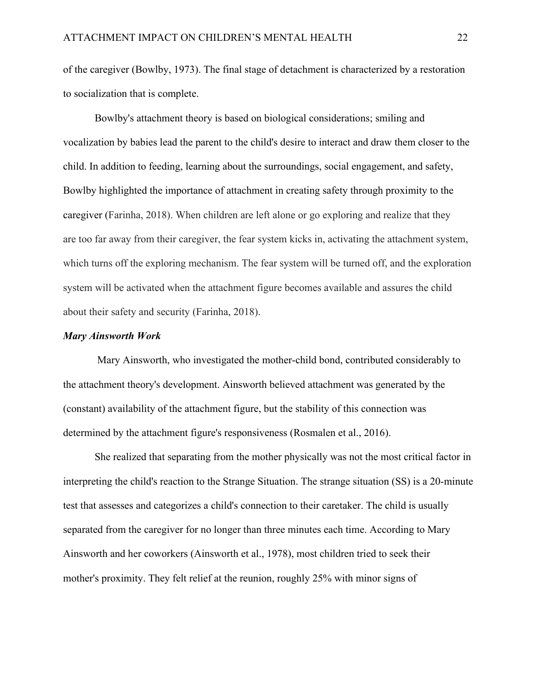of the caregiver (Bowlby, 1973). The final stage of detachment is characterized by a restoration to socialization that is complete.

Bowlby's attachment theory is based on biological considerations; smiling and vocalization by babies lead the parent to the child's desire to interact and draw them closer to the child. In addition to feeding, learning about the surroundings, social engagement, and safety, Bowlby highlighted the importance of attachment in creating safety through proximity to the caregiver (Farinha, 2018). When children are left alone or go exploring and realize that they are too far away from their caregiver, the fear system kicks in, activating the attachment system, which turns off the exploring mechanism. The fear system will be turned off, and the exploration system will be activated when the attachment figure becomes available and assures the child about their safety and security (Farinha, 2018).

#### <span id="page-21-0"></span>*Mary Ainsworth Work*

 Mary Ainsworth, who investigated the mother-child bond, contributed considerably to the attachment theory's development. Ainsworth believed attachment was generated by the (constant) availability of the attachment figure, but the stability of this connection was determined by the attachment figure's responsiveness (Rosmalen et al., 2016).

She realized that separating from the mother physically was not the most critical factor in interpreting the child's reaction to the Strange Situation. The strange situation (SS) is a 20-minute test that assesses and categorizes a child's connection to their caretaker. The child is usually separated from the caregiver for no longer than three minutes each time. According to Mary Ainsworth and her coworkers (Ainsworth et al., 1978), most children tried to seek their mother's proximity. They felt relief at the reunion, roughly 25% with minor signs of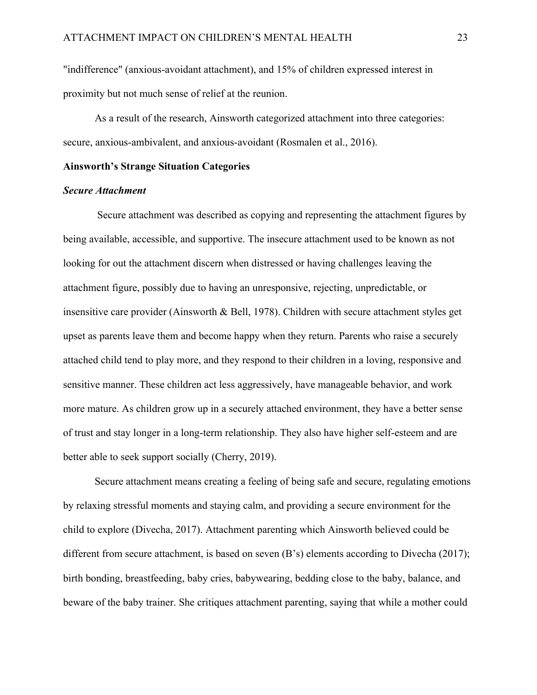"indifference" (anxious-avoidant attachment), and 15% of children expressed interest in proximity but not much sense of relief at the reunion.

As a result of the research, Ainsworth categorized attachment into three categories: secure, anxious-ambivalent, and anxious-avoidant (Rosmalen et al., 2016).

# <span id="page-22-0"></span>**Ainsworth's Strange Situation Categories**

#### <span id="page-22-1"></span>*Secure Attachment*

Secure attachment was described as copying and representing the attachment figures by being available, accessible, and supportive. The insecure attachment used to be known as not looking for out the attachment discern when distressed or having challenges leaving the attachment figure, possibly due to having an unresponsive, rejecting, unpredictable, or insensitive care provider (Ainsworth & Bell, 1978). Children with secure attachment styles get upset as parents leave them and become happy when they return. Parents who raise a securely attached child tend to play more, and they respond to their children in a loving, responsive and sensitive manner. These children act less aggressively, have manageable behavior, and work more mature. As children grow up in a securely attached environment, they have a better sense of trust and stay longer in a long-term relationship. They also have higher self-esteem and are better able to seek support socially (Cherry, 2019).

Secure attachment means creating a feeling of being safe and secure, regulating emotions by relaxing stressful moments and staying calm, and providing a secure environment for the child to explore (Divecha, 2017). Attachment parenting which Ainsworth believed could be different from secure attachment, is based on seven (B's) elements according to Divecha (2017); birth bonding, breastfeeding, baby cries, babywearing, bedding close to the baby, balance, and beware of the baby trainer. She critiques attachment parenting, saying that while a mother could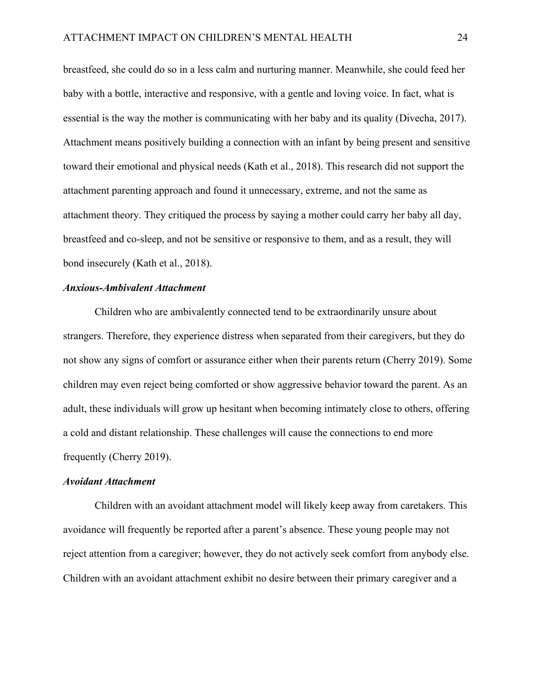breastfeed, she could do so in a less calm and nurturing manner. Meanwhile, she could feed her baby with a bottle, interactive and responsive, with a gentle and loving voice. In fact, what is essential is the way the mother is communicating with her baby and its quality (Divecha, 2017). Attachment means positively building a connection with an infant by being present and sensitive toward their emotional and physical needs (Kath et al., 2018). This research did not support the attachment parenting approach and found it unnecessary, extreme, and not the same as attachment theory. They critiqued the process by saying a mother could carry her baby all day, breastfeed and co-sleep, and not be sensitive or responsive to them, and as a result, they will bond insecurely (Kath et al., 2018).

# <span id="page-23-0"></span>*Anxious-Ambivalent Attachment*

Children who are ambivalently connected tend to be extraordinarily unsure about strangers. Therefore, they experience distress when separated from their caregivers, but they do not show any signs of comfort or assurance either when their parents return (Cherry 2019). Some children may even reject being comforted or show aggressive behavior toward the parent. As an adult, these individuals will grow up hesitant when becoming intimately close to others, offering a cold and distant relationship. These challenges will cause the connections to end more frequently (Cherry 2019).

#### <span id="page-23-1"></span>*Avoidant Attachment*

Children with an avoidant attachment model will likely keep away from caretakers. This avoidance will frequently be reported after a parent's absence. These young people may not reject attention from a caregiver; however, they do not actively seek comfort from anybody else. Children with an avoidant attachment exhibit no desire between their primary caregiver and a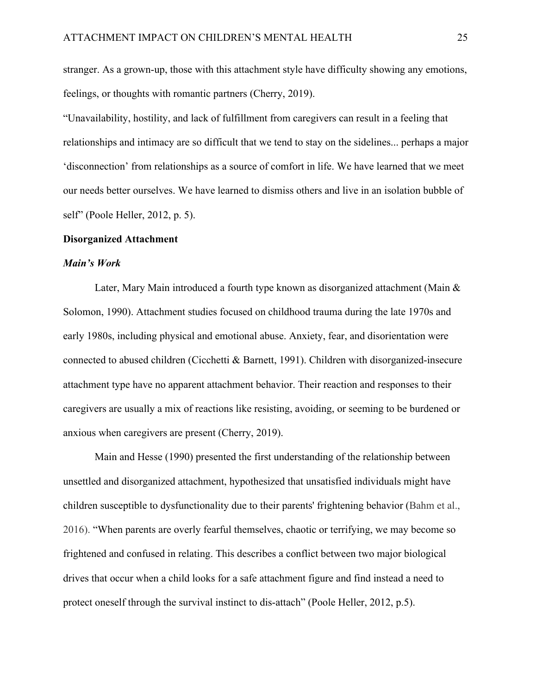stranger. As a grown-up, those with this attachment style have difficulty showing any emotions, feelings, or thoughts with romantic partners (Cherry, 2019).

"Unavailability, hostility, and lack of fulfillment from caregivers can result in a feeling that relationships and intimacy are so difficult that we tend to stay on the sidelines... perhaps a major 'disconnection' from relationships as a source of comfort in life. We have learned that we meet our needs better ourselves. We have learned to dismiss others and live in an isolation bubble of self" (Poole Heller, 2012, p. 5).

# <span id="page-24-0"></span>**Disorganized Attachment**

#### <span id="page-24-1"></span>*Main's Work*

Later, Mary Main introduced a fourth type known as disorganized attachment (Main & Solomon, 1990). Attachment studies focused on childhood trauma during the late 1970s and early 1980s, including physical and emotional abuse. Anxiety, fear, and disorientation were connected to abused children (Cicchetti & Barnett, 1991). Children with disorganized-insecure attachment type have no apparent attachment behavior. Their reaction and responses to their caregivers are usually a mix of reactions like resisting, avoiding, or seeming to be burdened or anxious when caregivers are present (Cherry, 2019).

Main and Hesse (1990) presented the first understanding of the relationship between unsettled and disorganized attachment, hypothesized that unsatisfied individuals might have children susceptible to dysfunctionality due to their parents' frightening behavior (Bahm et al., 2016). "When parents are overly fearful themselves, chaotic or terrifying, we may become so frightened and confused in relating. This describes a conflict between two major biological drives that occur when a child looks for a safe attachment figure and find instead a need to protect oneself through the survival instinct to dis-attach" (Poole Heller, 2012, p.5).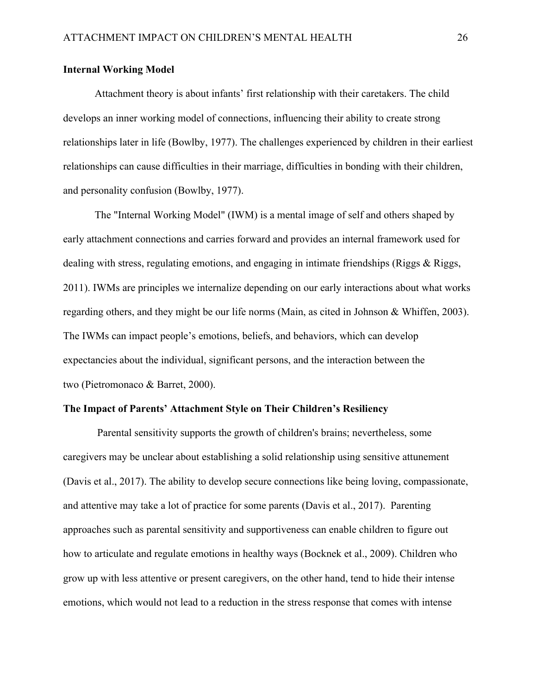# <span id="page-25-0"></span>**Internal Working Model**

Attachment theory is about infants' first relationship with their caretakers. The child develops an inner working model of connections, influencing their ability to create strong relationships later in life (Bowlby, 1977). The challenges experienced by children in their earliest relationships can cause difficulties in their marriage, difficulties in bonding with their children, and personality confusion (Bowlby, 1977).

The "Internal Working Model" (IWM) is a mental image of self and others shaped by early attachment connections and carries forward and provides an internal framework used for dealing with stress, regulating emotions, and engaging in intimate friendships (Riggs & Riggs, 2011). IWMs are principles we internalize depending on our early interactions about what works regarding others, and they might be our life norms (Main, as cited in Johnson & Whiffen, 2003). The IWMs can impact people's emotions, beliefs, and behaviors, which can develop expectancies about the individual, significant persons, and the interaction between the two (Pietromonaco & Barret, 2000).

# <span id="page-25-1"></span>**The Impact of Parents' Attachment Style on Their Children's Resiliency**

Parental sensitivity supports the growth of children's brains; nevertheless, some caregivers may be unclear about establishing a solid relationship using sensitive attunement (Davis et al., 2017). The ability to develop secure connections like being loving, compassionate, and attentive may take a lot of practice for some parents (Davis et al., 2017). Parenting approaches such as parental sensitivity and supportiveness can enable children to figure out how to articulate and regulate emotions in healthy ways (Bocknek et al., 2009). Children who grow up with less attentive or present caregivers, on the other hand, tend to hide their intense emotions, which would not lead to a reduction in the stress response that comes with intense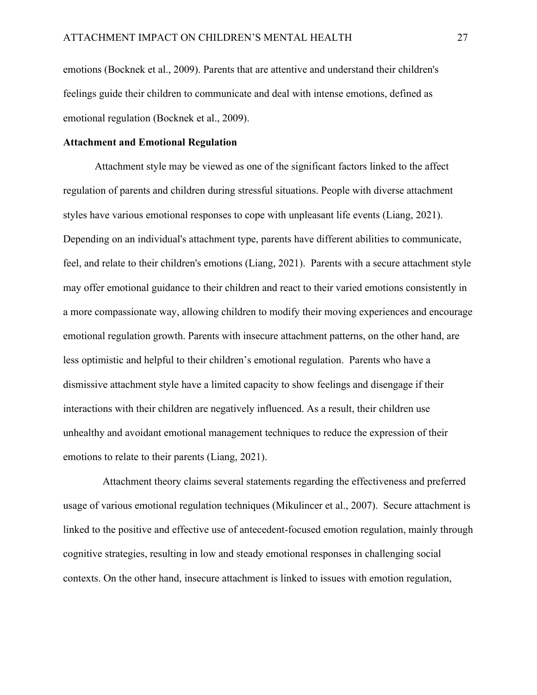emotions (Bocknek et al., 2009). Parents that are attentive and understand their children's feelings guide their children to communicate and deal with intense emotions, defined as emotional regulation (Bocknek et al., 2009).

# <span id="page-26-0"></span>**Attachment and Emotional Regulation**

Attachment style may be viewed as one of the significant factors linked to the affect regulation of parents and children during stressful situations. People with diverse attachment styles have various emotional responses to cope with unpleasant life events (Liang, 2021). Depending on an individual's attachment type, parents have different abilities to communicate, feel, and relate to their children's emotions (Liang, 2021). Parents with a secure attachment style may offer emotional guidance to their children and react to their varied emotions consistently in a more compassionate way, allowing children to modify their moving experiences and encourage emotional regulation growth. Parents with insecure attachment patterns, on the other hand, are less optimistic and helpful to their children's emotional regulation. Parents who have a dismissive attachment style have a limited capacity to show feelings and disengage if their interactions with their children are negatively influenced. As a result, their children use unhealthy and avoidant emotional management techniques to reduce the expression of their emotions to relate to their parents (Liang, 2021).

 Attachment theory claims several statements regarding the effectiveness and preferred usage of various emotional regulation techniques [\(Mikulincer et al., 2007\)](https://www.frontiersin.org/articles/10.3389/fnhum.2012.00212/full#B80). Secure attachment is linked to the positive and effective use of antecedent-focused emotion regulation, mainly through cognitive strategies, resulting in low and steady emotional responses in challenging social contexts. On the other hand, insecure attachment is linked to issues with emotion regulation,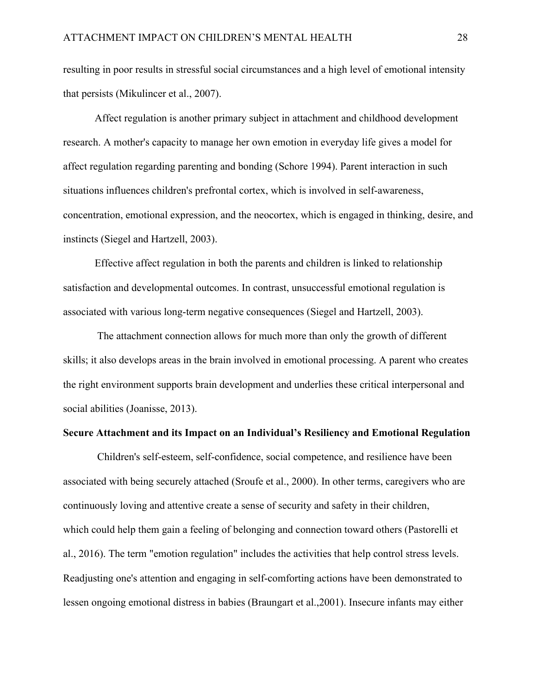resulting in poor results in stressful social circumstances and a high level of emotional intensity that persists [\(Mikulincer et al., 2007\)](https://www.frontiersin.org/articles/10.3389/fnhum.2012.00212/full#B80).

Affect regulation is another primary subject in attachment and childhood development research. A mother's capacity to manage her own emotion in everyday life gives a model for affect regulation regarding parenting and bonding (Schore 1994). Parent interaction in such situations influences children's prefrontal cortex, which is involved in self-awareness, concentration, emotional expression, and the neocortex, which is engaged in thinking, desire, and instincts (Siegel and Hartzell, 2003).

Effective affect regulation in both the parents and children is linked to relationship satisfaction and developmental outcomes. In contrast, unsuccessful emotional regulation is associated with various long-term negative consequences (Siegel and Hartzell, 2003).

The attachment connection allows for much more than only the growth of different skills; it also develops areas in the brain involved in emotional processing. A parent who creates the right environment supports brain development and underlies these critical interpersonal and social abilities (Joanisse, 2013).

# <span id="page-27-0"></span>**Secure Attachment and its Impact on an Individual's Resiliency and Emotional Regulation**

Children's self-esteem, self-confidence, social competence, and resilience have been associated with being securely attached (Sroufe et al., 2000). In other terms, caregivers who are continuously loving and attentive create a sense of security and safety in their children, which could help them gain a feeling of belonging and connection toward others (Pastorelli et al., 2016). The term "emotion regulation" includes the activities that help control stress levels. Readjusting one's attention and engaging in self-comforting actions have been demonstrated to lessen ongoing emotional distress in babies (Braungart et al.,2001). Insecure infants may either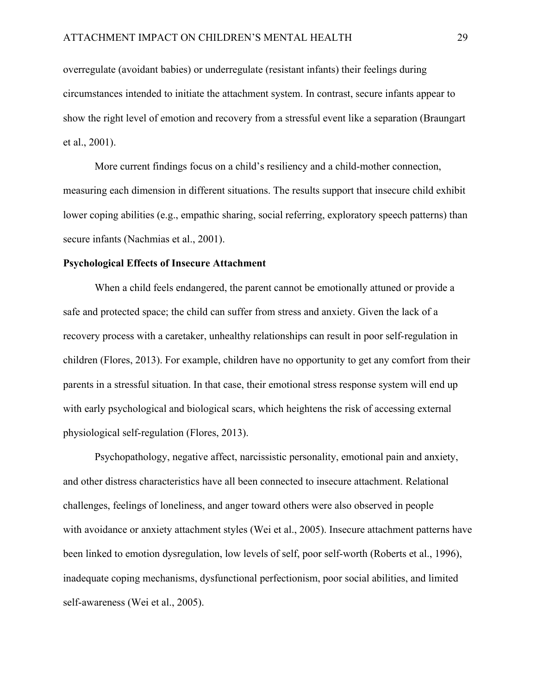overregulate (avoidant babies) or underregulate (resistant infants) their feelings during circumstances intended to initiate the attachment system. In contrast, secure infants appear to show the right level of emotion and recovery from a stressful event like a separation (Braungart et al., 2001).

More current findings focus on a child's resiliency and a child-mother connection, measuring each dimension in different situations. The results support that insecure child exhibit lower coping abilities (e.g., empathic sharing, social referring, exploratory speech patterns) than secure infants (Nachmias et al., 2001).

#### <span id="page-28-0"></span>**Psychological Effects of Insecure Attachment**

When a child feels endangered, the parent cannot be emotionally attuned or provide a safe and protected space; the child can suffer from stress and anxiety. Given the lack of a recovery process with a caretaker, unhealthy relationships can result in poor self-regulation in children (Flores, 2013). For example, children have no opportunity to get any comfort from their parents in a stressful situation. In that case, their emotional stress response system will end up with early psychological and biological scars, which heightens the risk of accessing external physiological self-regulation (Flores, 2013).

Psychopathology, negative affect, narcissistic personality, emotional pain and anxiety, and other distress characteristics have all been connected to insecure attachment. Relational challenges, feelings of loneliness, and anger toward others were also observed in people with avoidance or anxiety attachment styles (Wei et al., 2005). Insecure attachment patterns have been linked to emotion dysregulation, low levels of self, poor self-worth (Roberts et al., 1996), inadequate coping mechanisms, dysfunctional perfectionism, poor social abilities, and limited self-awareness (Wei et al., 2005).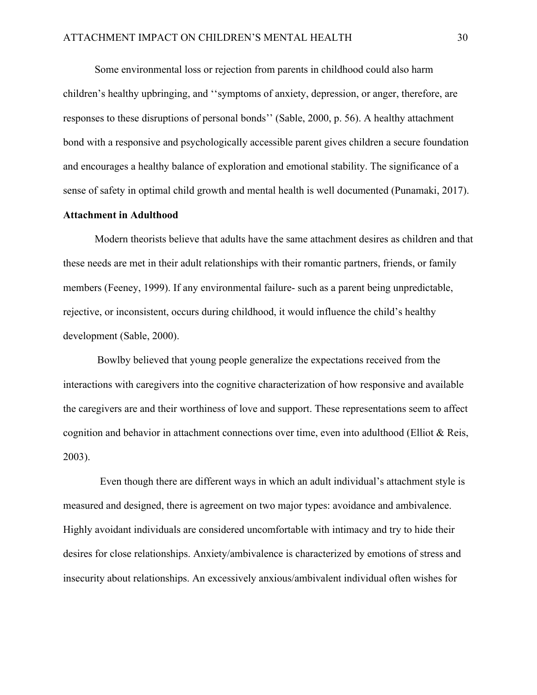Some environmental loss or rejection from parents in childhood could also harm children's healthy upbringing, and ''symptoms of anxiety, depression, or anger, therefore, are responses to these disruptions of personal bonds'' (Sable, 2000, p. 56). A healthy attachment bond with a responsive and psychologically accessible parent gives children a secure foundation and encourages a healthy balance of exploration and emotional stability. The significance of a sense of safety in optimal child growth and mental health is well documented (Punamaki, 2017).

# <span id="page-29-0"></span>**Attachment in Adulthood**

Modern theorists believe that adults have the same attachment desires as children and that these needs are met in their adult relationships with their romantic partners, friends, or family members (Feeney, 1999). If any environmental failure- such as a parent being unpredictable, rejective, or inconsistent, occurs during childhood, it would influence the child's healthy development (Sable, 2000).

Bowlby believed that young people generalize the expectations received from the interactions with caregivers into the cognitive characterization of how responsive and available the caregivers are and their worthiness of love and support. These representations seem to affect cognition and behavior in attachment connections over time, even into adulthood (Elliot & Reis, 2003).

 Even though there are different ways in which an adult individual's attachment style is measured and designed, there is agreement on two major types: avoidance and ambivalence. Highly avoidant individuals are considered uncomfortable with intimacy and try to hide their desires for close relationships. Anxiety/ambivalence is characterized by emotions of stress and insecurity about relationships. An excessively anxious/ambivalent individual often wishes for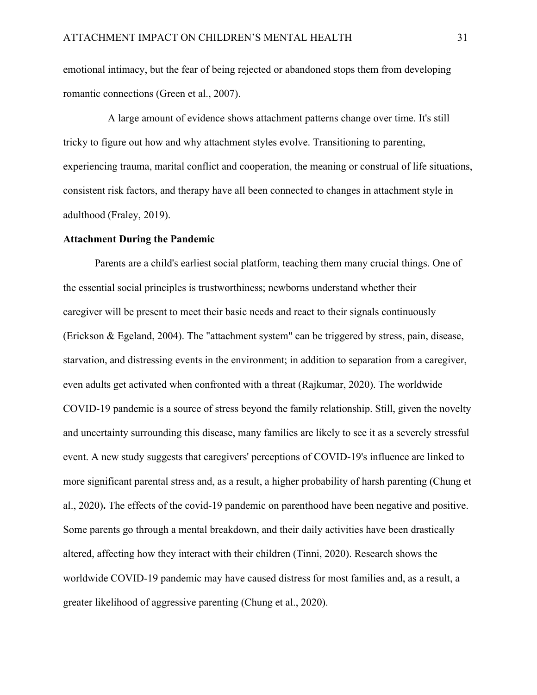emotional intimacy, but the fear of being rejected or abandoned stops them from developing romantic connections (Green et al., 2007).

 A large amount of evidence shows attachment patterns change over time. It's still tricky to figure out how and why attachment styles evolve. Transitioning to parenting, experiencing trauma, marital conflict and cooperation, the meaning or construal of life situations, consistent risk factors, and therapy have all been connected to changes in attachment style in adulthood (Fraley, 2019).

### <span id="page-30-0"></span>**Attachment During the Pandemic**

Parents are a child's earliest social platform, teaching them many crucial things. One of the essential social principles is trustworthiness; newborns understand whether their caregiver will be present to meet their basic needs and react to their signals continuously (Erickson & Egeland, 2004). The "attachment system" can be triggered by stress, pain, disease, starvation, and distressing events in the environment; in addition to separation from a caregiver, even adults get activated when confronted with a threat (Rajkumar, 2020). The worldwide COVID-19 pandemic is a source of stress beyond the family relationship. Still, given the novelty and uncertainty surrounding this disease, many families are likely to see it as a severely stressful event. A new study suggests that caregivers' perceptions of COVID-19's influence are linked to more significant parental stress and, as a result, a higher probability of harsh parenting (Chung et al., 2020)**.** The effects of the covid-19 pandemic on parenthood have been negative and positive. Some parents go through a mental breakdown, and their daily activities have been drastically altered, affecting how they interact with their children (Tinni, 2020). Research shows the worldwide COVID-19 pandemic may have caused distress for most families and, as a result, a greater likelihood of aggressive parenting (Chung et al., 2020).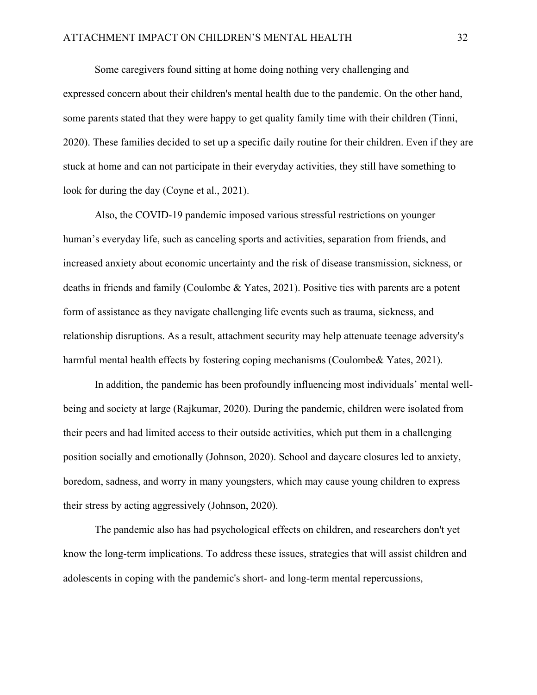Some caregivers found sitting at home doing nothing very challenging and expressed concern about their children's mental health due to the pandemic. On the other hand, some parents stated that they were happy to get quality family time with their children (Tinni, 2020). These families decided to set up a specific daily routine for their children. Even if they are stuck at home and can not participate in their everyday activities, they still have something to look for during the day (Coyne et al., 2021).

Also, the COVID-19 pandemic imposed various stressful restrictions on younger human's everyday life, such as canceling sports and activities, separation from friends, and increased anxiety about economic uncertainty and the risk of disease transmission, sickness, or deaths in friends and family (Coulombe & Yates, 2021). Positive ties with parents are a potent form of assistance as they navigate challenging life events such as trauma, sickness, and relationship disruptions. As a result, attachment security may help attenuate teenage adversity's harmful mental health effects by fostering coping mechanisms (Coulombe& Yates, 2021).

In addition, the pandemic has been profoundly influencing most individuals' mental wellbeing and society at large (Rajkumar, 2020). During the pandemic, children were isolated from their peers and had limited access to their outside activities, which put them in a challenging position socially and emotionally (Johnson, 2020). School and daycare closures led to anxiety, boredom, sadness, and worry in many youngsters, which may cause young children to express their stress by acting aggressively (Johnson, 2020).

The pandemic also has had psychological effects on children, and researchers don't yet know the long-term implications. To address these issues, strategies that will assist children and adolescents in coping with the pandemic's short- and long-term mental repercussions,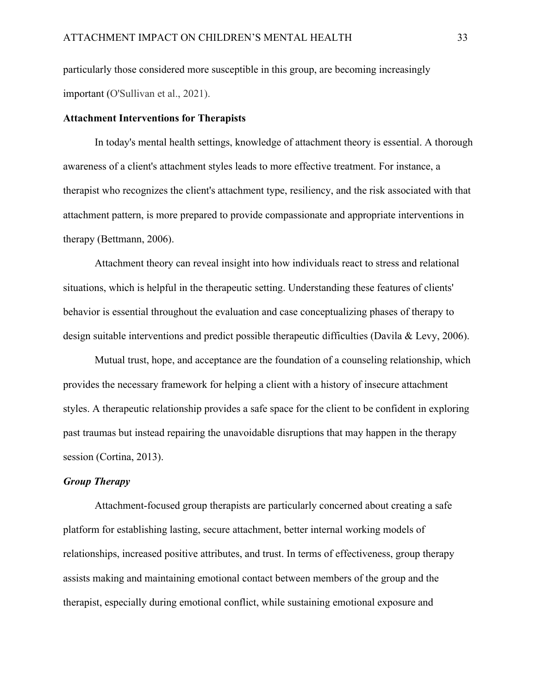particularly those considered more susceptible in this group, are becoming increasingly important (O'Sullivan et al., 2021).

#### <span id="page-32-0"></span>**Attachment Interventions for Therapists**

In today's mental health settings, knowledge of attachment theory is essential. A thorough awareness of a client's attachment styles leads to more effective treatment. For instance, a therapist who recognizes the client's attachment type, resiliency, and the risk associated with that attachment pattern, is more prepared to provide compassionate and appropriate interventions in therapy (Bettmann, 2006).

Attachment theory can reveal insight into how individuals react to stress and relational situations, which is helpful in the therapeutic setting. Understanding these features of clients' behavior is essential throughout the evaluation and case conceptualizing phases of therapy to design suitable interventions and predict possible therapeutic difficulties (Davila & Levy, 2006).

Mutual trust, hope, and acceptance are the foundation of a counseling relationship, which provides the necessary framework for helping a client with a history of insecure attachment styles. A therapeutic relationship provides a safe space for the client to be confident in exploring past traumas but instead repairing the unavoidable disruptions that may happen in the therapy session (Cortina, 2013).

# <span id="page-32-1"></span>*Group Therapy*

Attachment-focused group therapists are particularly concerned about creating a safe platform for establishing lasting, secure attachment, better internal working models of relationships, increased positive attributes, and trust. In terms of effectiveness, group therapy assists making and maintaining emotional contact between members of the group and the therapist, especially during emotional conflict, while sustaining emotional exposure and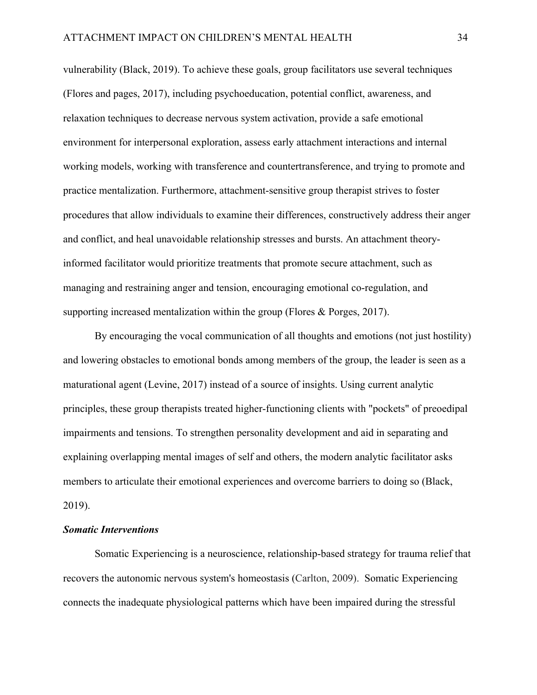vulnerability (Black, 2019). To achieve these goals, group facilitators use several techniques (Flores and pages, 2017), including psychoeducation, potential conflict, awareness, and relaxation techniques to decrease nervous system activation, provide a safe emotional environment for interpersonal exploration, assess early attachment interactions and internal working models, working with transference and countertransference, and trying to promote and practice mentalization. Furthermore, attachment-sensitive group therapist strives to foster procedures that allow individuals to examine their differences, constructively address their anger and conflict, and heal unavoidable relationship stresses and bursts. An attachment theoryinformed facilitator would prioritize treatments that promote secure attachment, such as managing and restraining anger and tension, encouraging emotional co-regulation, and supporting increased mentalization within the group (Flores & Porges, 2017).

By encouraging the vocal communication of all thoughts and emotions (not just hostility) and lowering obstacles to emotional bonds among members of the group, the leader is seen as a maturational agent (Levine, 2017) instead of a source of insights. Using current analytic principles, these group therapists treated higher-functioning clients with "pockets" of preoedipal impairments and tensions. To strengthen personality development and aid in separating and explaining overlapping mental images of self and others, the modern analytic facilitator asks members to articulate their emotional experiences and overcome barriers to doing so (Black, 2019).

# <span id="page-33-0"></span>*Somatic Interventions*

Somatic Experiencing is a neuroscience, relationship-based strategy for trauma relief that recovers the autonomic nervous system's homeostasis (Carlton, 2009). Somatic Experiencing connects the inadequate physiological patterns which have been impaired during the stressful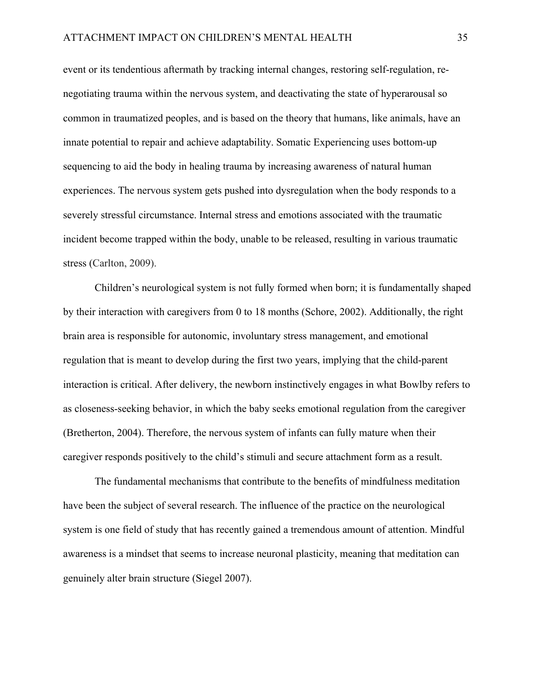event or its tendentious aftermath by tracking internal changes, restoring self-regulation, renegotiating trauma within the nervous system, and deactivating the state of hyperarousal so common in traumatized peoples, and is based on the theory that humans, like animals, have an innate potential to repair and achieve adaptability. Somatic Experiencing uses bottom-up sequencing to aid the body in healing trauma by increasing awareness of natural human experiences. The nervous system gets pushed into dysregulation when the body responds to a severely stressful circumstance. Internal stress and emotions associated with the traumatic incident become trapped within the body, unable to be released, resulting in various traumatic stress (Carlton, 2009).

Children's neurological system is not fully formed when born; it is fundamentally shaped by their interaction with caregivers from 0 to 18 months (Schore, 2002). Additionally, the right brain area is responsible for autonomic, involuntary stress management, and emotional regulation that is meant to develop during the first two years, implying that the child-parent interaction is critical. After delivery, the newborn instinctively engages in what Bowlby refers to as closeness-seeking behavior, in which the baby seeks emotional regulation from the caregiver (Bretherton, 2004). Therefore, the nervous system of infants can fully mature when their caregiver responds positively to the child's stimuli and secure attachment form as a result.

The fundamental mechanisms that contribute to the benefits of mindfulness meditation have been the subject of several research. The influence of the practice on the neurological system is one field of study that has recently gained a tremendous amount of attention. Mindful awareness is a mindset that seems to increase neuronal plasticity, meaning that meditation can genuinely alter brain structure (Siegel 2007).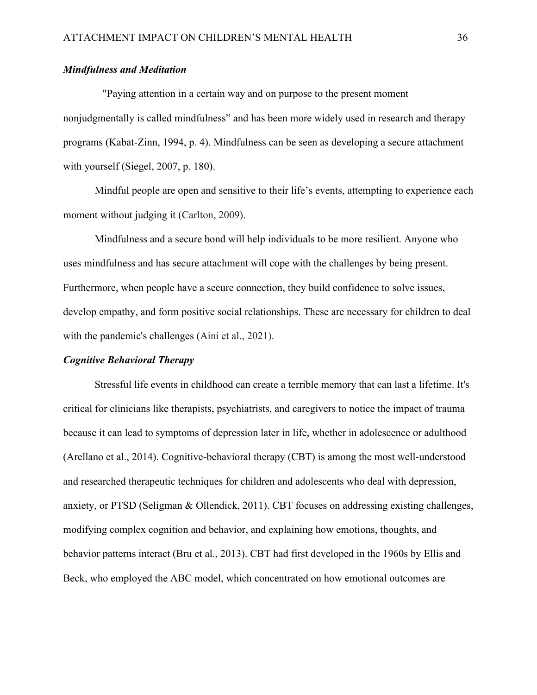# <span id="page-35-0"></span>*Mindfulness and Meditation*

 "Paying attention in a certain way and on purpose to the present moment nonjudgmentally is called mindfulness" and has been more widely used in research and therapy programs (Kabat-Zinn, 1994, p. 4). Mindfulness can be seen as developing a secure attachment with yourself (Siegel, 2007, p. 180).

Mindful people are open and sensitive to their life's events, attempting to experience each moment without judging it (Carlton, 2009).

Mindfulness and a secure bond will help individuals to be more resilient. Anyone who uses mindfulness and has secure attachment will cope with the challenges by being present. Furthermore, when people have a secure connection, they build confidence to solve issues, develop empathy, and form positive social relationships. These are necessary for children to deal with the pandemic's challenges (Aini et al., 2021).

#### <span id="page-35-1"></span>*Cognitive Behavioral Therapy*

Stressful life events in childhood can create a terrible memory that can last a lifetime. It's critical for clinicians like therapists, psychiatrists, and caregivers to notice the impact of trauma because it can lead to symptoms of depression later in life, whether in adolescence or adulthood (Arellano et al., 2014). Cognitive-behavioral therapy (CBT) is among the most well-understood and researched therapeutic techniques for children and adolescents who deal with depression, anxiety, or PTSD (Seligman & Ollendick, 2011). CBT focuses on addressing existing challenges, modifying complex cognition and behavior, and explaining how emotions, thoughts, and behavior patterns interact (Bru et al., 2013). CBT had first developed in the 1960s by Ellis and Beck, who employed the ABC model, which concentrated on how emotional outcomes are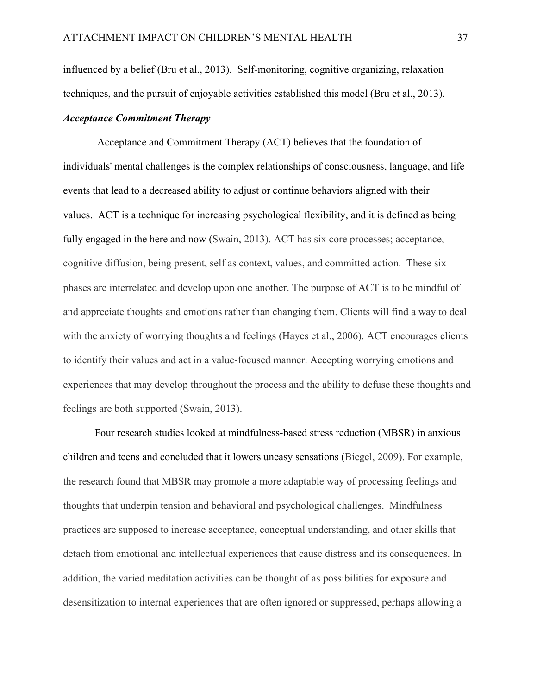influenced by a belief (Bru et al., 2013). Self-monitoring, cognitive organizing, relaxation techniques, and the pursuit of enjoyable activities established this model (Bru et al., 2013).

# <span id="page-36-0"></span>*Acceptance Commitment Therapy*

Acceptance and Commitment Therapy (ACT) believes that the foundation of individuals' mental challenges is the complex relationships of consciousness, language, and life events that lead to a decreased ability to adjust or continue behaviors aligned with their values. ACT is a technique for increasing psychological flexibility, and it is defined as being fully engaged in the here and now (Swain, 2013). ACT has six core processes; acceptance, cognitive diffusion, being present, self as context, values, and committed action. These six phases are interrelated and develop upon one another. The purpose of ACT is to be mindful of and appreciate thoughts and emotions rather than changing them. Clients will find a way to deal with the anxiety of worrying thoughts and feelings (Hayes et al., 2006). ACT encourages clients to identify their values and act in a value-focused manner. Accepting worrying emotions and experiences that may develop throughout the process and the ability to defuse these thoughts and feelings are both supported (Swain, 2013).

Four research studies looked at mindfulness-based stress reduction (MBSR) in anxious children and teens and concluded that it lowers uneasy sensations (Biegel, 2009). For example, the research found that MBSR may promote a more adaptable way of processing feelings and thoughts that underpin tension and behavioral and psychological challenges. Mindfulness practices are supposed to increase acceptance, conceptual understanding, and other skills that detach from emotional and intellectual experiences that cause distress and its consequences. In addition, the varied meditation activities can be thought of as possibilities for exposure and desensitization to internal experiences that are often ignored or suppressed, perhaps allowing a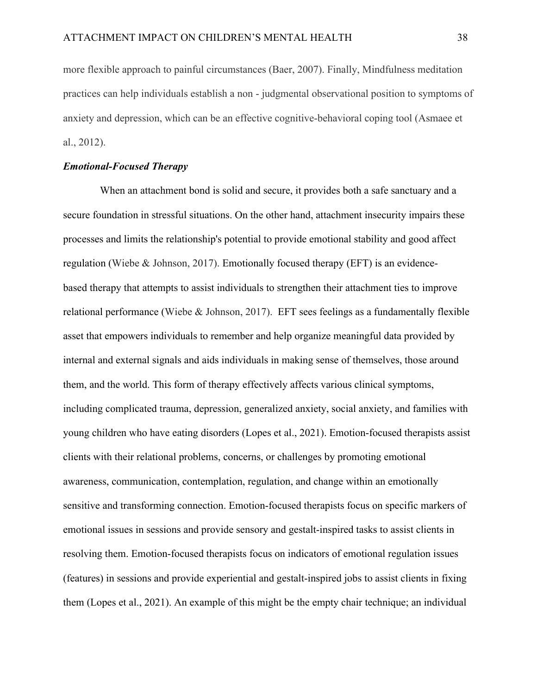more flexible approach to painful circumstances (Baer, 2007). Finally, Mindfulness meditation practices can help individuals establish a non - judgmental observational position to symptoms of anxiety and depression, which can be an effective cognitive-behavioral coping tool (Asmaee et al., 2012).

# <span id="page-37-0"></span>*Emotional-Focused Therapy*

When an attachment bond is solid and secure, it provides both a safe sanctuary and a secure foundation in stressful situations. On the other hand, attachment insecurity impairs these processes and limits the relationship's potential to provide emotional stability and good affect regulation (Wiebe & Johnson, 2017). Emotionally focused therapy (EFT) is an evidencebased therapy that attempts to assist individuals to strengthen their attachment ties to improve relational performance (Wiebe & Johnson, 2017). EFT sees feelings as a fundamentally flexible asset that empowers individuals to remember and help organize meaningful data provided by internal and external signals and aids individuals in making sense of themselves, those around them, and the world. This form of therapy effectively affects various clinical symptoms, including complicated trauma, depression, generalized anxiety, social anxiety, and families with young children who have eating disorders (Lopes et al., 2021). Emotion-focused therapists assist clients with their relational problems, concerns, or challenges by promoting emotional awareness, communication, contemplation, regulation, and change within an emotionally sensitive and transforming connection. Emotion-focused therapists focus on specific markers of emotional issues in sessions and provide sensory and gestalt-inspired tasks to assist clients in resolving them. Emotion-focused therapists focus on indicators of emotional regulation issues (features) in sessions and provide experiential and gestalt-inspired jobs to assist clients in fixing them (Lopes et al., 2021). An example of this might be the empty chair technique; an individual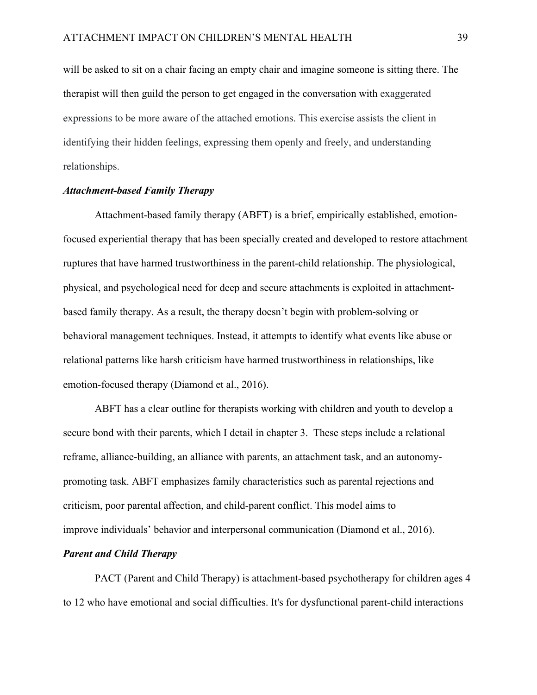will be asked to sit on a chair facing an empty chair and imagine someone is sitting there. The therapist will then guild the person to get engaged in the conversation with exaggerated expressions to be more aware of the attached emotions. This exercise assists the client in identifying their hidden feelings, expressing them openly and freely, and understanding relationships.

## <span id="page-38-0"></span>*Attachment-based Family Therapy*

Attachment-based family therapy (ABFT) is a brief, empirically established, emotionfocused experiential therapy that has been specially created and developed to restore attachment ruptures that have harmed trustworthiness in the parent-child relationship. The physiological, physical, and psychological need for deep and secure attachments is exploited in attachmentbased family therapy. As a result, the therapy doesn't begin with problem-solving or behavioral management techniques. Instead, it attempts to identify what events like abuse or relational patterns like harsh criticism have harmed trustworthiness in relationships, like emotion-focused therapy (Diamond et al., 2016).

ABFT has a clear outline for therapists working with children and youth to develop a secure bond with their parents, which I detail in chapter 3. These steps include a relational reframe, alliance-building, an alliance with parents, an attachment task, and an autonomypromoting task. ABFT emphasizes family characteristics such as parental rejections and criticism, poor parental affection, and child-parent conflict. This model aims to improve individuals' behavior and interpersonal communication (Diamond et al., 2016).

# <span id="page-38-1"></span>*Parent and Child Therapy*

PACT (Parent and Child Therapy) is attachment-based psychotherapy for children ages 4 to 12 who have emotional and social difficulties. It's for dysfunctional parent-child interactions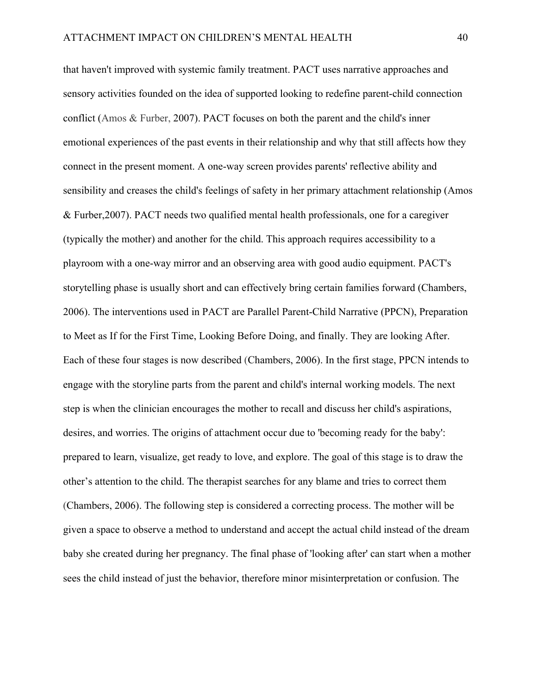that haven't improved with systemic family treatment. PACT uses narrative approaches and sensory activities founded on the idea of supported looking to redefine parent-child connection conflict (Amos & Furber, 2007). PACT focuses on both the parent and the child's inner emotional experiences of the past events in their relationship and why that still affects how they connect in the present moment. A one-way screen provides parents' reflective ability and sensibility and creases the child's feelings of safety in her primary attachment relationship (Amos & Furber,2007). PACT needs two qualified mental health professionals, one for a caregiver (typically the mother) and another for the child. This approach requires accessibility to a playroom with a one-way mirror and an observing area with good audio equipment. PACT's storytelling phase is usually short and can effectively bring certain families forward (Chambers, 2006). The interventions used in PACT are Parallel Parent-Child Narrative (PPCN), Preparation to Meet as If for the First Time, Looking Before Doing, and finally. They are looking After. Each of these four stages is now described (Chambers, 2006). In the first stage, PPCN intends to engage with the storyline parts from the parent and child's internal working models. The next step is when the clinician encourages the mother to recall and discuss her child's aspirations, desires, and worries. The origins of attachment occur due to 'becoming ready for the baby': prepared to learn, visualize, get ready to love, and explore. The goal of this stage is to draw the other's attention to the child. The therapist searches for any blame and tries to correct them (Chambers, 2006). The following step is considered a correcting process. The mother will be given a space to observe a method to understand and accept the actual child instead of the dream baby she created during her pregnancy. The final phase of 'looking after' can start when a mother sees the child instead of just the behavior, therefore minor misinterpretation or confusion. The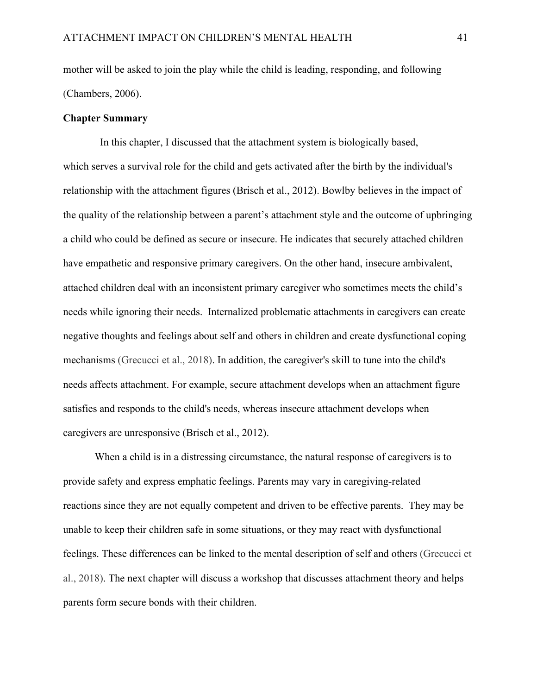mother will be asked to join the play while the child is leading, responding, and following (Chambers, 2006).

# <span id="page-40-0"></span>**Chapter Summary**

 In this chapter, I discussed that the attachment system is biologically based, which serves a survival role for the child and gets activated after the birth by the individual's relationship with the attachment figures (Brisch et al., 2012). Bowlby believes in the impact of the quality of the relationship between a parent's attachment style and the outcome of upbringing a child who could be defined as secure or insecure. He indicates that securely attached children have empathetic and responsive primary caregivers. On the other hand, insecure ambivalent, attached children deal with an inconsistent primary caregiver who sometimes meets the child's needs while ignoring their needs. Internalized problematic attachments in caregivers can create negative thoughts and feelings about self and others in children and create dysfunctional coping mechanisms (Grecucci et al., 2018). In addition, the caregiver's skill to tune into the child's needs affects attachment. For example, secure attachment develops when an attachment figure satisfies and responds to the child's needs, whereas insecure attachment develops when caregivers are unresponsive (Brisch et al., 2012).

When a child is in a distressing circumstance, the natural response of caregivers is to provide safety and express emphatic feelings. Parents may vary in caregiving-related reactions since they are not equally competent and driven to be effective parents. They may be unable to keep their children safe in some situations, or they may react with dysfunctional feelings. These differences can be linked to the mental description of self and others (Grecucci et al., 2018). The next chapter will discuss a workshop that discusses attachment theory and helps parents form secure bonds with their children.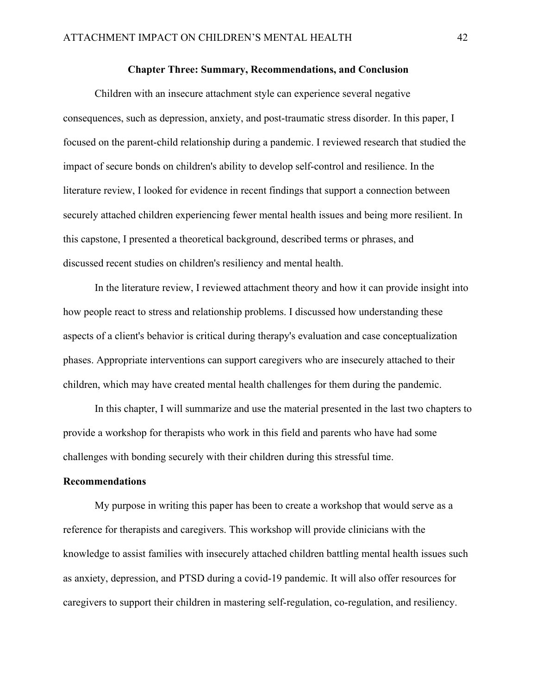### **Chapter Three: Summary, Recommendations, and Conclusion**

<span id="page-41-0"></span>Children with an insecure attachment style can experience several negative consequences, such as depression, anxiety, and post-traumatic stress disorder. In this paper, I focused on the parent-child relationship during a pandemic. I reviewed research that studied the impact of secure bonds on children's ability to develop self-control and resilience. In the literature review, I looked for evidence in recent findings that support a connection between securely attached children experiencing fewer mental health issues and being more resilient. In this capstone, I presented a theoretical background, described terms or phrases, and discussed recent studies on children's resiliency and mental health.

In the literature review, I reviewed attachment theory and how it can provide insight into how people react to stress and relationship problems. I discussed how understanding these aspects of a client's behavior is critical during therapy's evaluation and case conceptualization phases. Appropriate interventions can support caregivers who are insecurely attached to their children, which may have created mental health challenges for them during the pandemic.

In this chapter, I will summarize and use the material presented in the last two chapters to provide a workshop for therapists who work in this field and parents who have had some challenges with bonding securely with their children during this stressful time.

# <span id="page-41-1"></span>**Recommendations**

My purpose in writing this paper has been to create a workshop that would serve as a reference for therapists and caregivers. This workshop will provide clinicians with the knowledge to assist families with insecurely attached children battling mental health issues such as anxiety, depression, and PTSD during a covid-19 pandemic. It will also offer resources for caregivers to support their children in mastering self-regulation, co-regulation, and resiliency.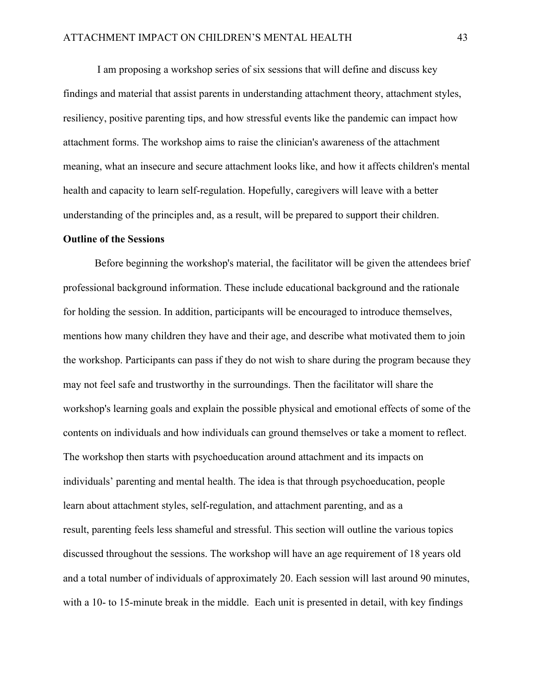I am proposing a workshop series of six sessions that will define and discuss key findings and material that assist parents in understanding attachment theory, attachment styles, resiliency, positive parenting tips, and how stressful events like the pandemic can impact how attachment forms. The workshop aims to raise the clinician's awareness of the attachment meaning, what an insecure and secure attachment looks like, and how it affects children's mental health and capacity to learn self-regulation. Hopefully, caregivers will leave with a better understanding of the principles and, as a result, will be prepared to support their children.

#### <span id="page-42-0"></span>**Outline of the Sessions**

Before beginning the workshop's material, the facilitator will be given the attendees brief professional background information. These include educational background and the rationale for holding the session. In addition, participants will be encouraged to introduce themselves, mentions how many children they have and their age, and describe what motivated them to join the workshop. Participants can pass if they do not wish to share during the program because they may not feel safe and trustworthy in the surroundings. Then the facilitator will share the workshop's learning goals and explain the possible physical and emotional effects of some of the contents on individuals and how individuals can ground themselves or take a moment to reflect. The workshop then starts with psychoeducation around attachment and its impacts on individuals' parenting and mental health. The idea is that through psychoeducation, people learn about attachment styles, self-regulation, and attachment parenting, and as a result, parenting feels less shameful and stressful. This section will outline the various topics discussed throughout the sessions. The workshop will have an age requirement of 18 years old and a total number of individuals of approximately 20. Each session will last around 90 minutes, with a 10- to 15-minute break in the middle. Each unit is presented in detail, with key findings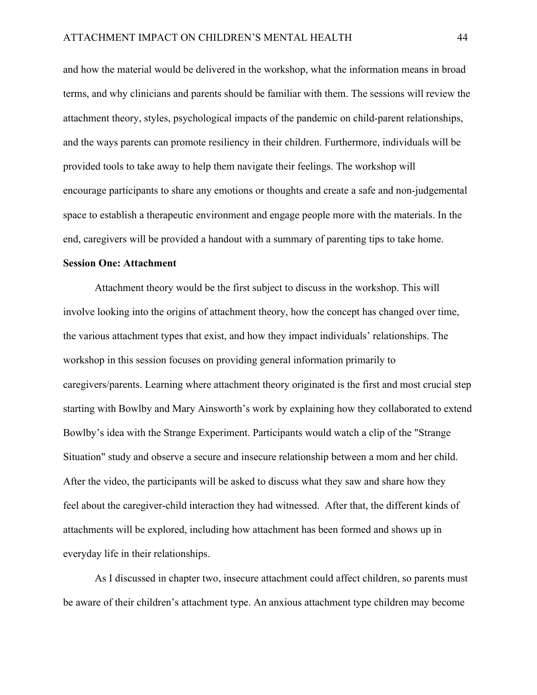and how the material would be delivered in the workshop, what the information means in broad terms, and why clinicians and parents should be familiar with them. The sessions will review the attachment theory, styles, psychological impacts of the pandemic on child-parent relationships, and the ways parents can promote resiliency in their children. Furthermore, individuals will be provided tools to take away to help them navigate their feelings. The workshop will encourage participants to share any emotions or thoughts and create a safe and non-judgemental space to establish a therapeutic environment and engage people more with the materials. In the end, caregivers will be provided a handout with a summary of parenting tips to take home.

# <span id="page-43-0"></span>**Session One: Attachment**

Attachment theory would be the first subject to discuss in the workshop. This will involve looking into the origins of attachment theory, how the concept has changed over time, the various attachment types that exist, and how they impact individuals' relationships. The workshop in this session focuses on providing general information primarily to caregivers/parents. Learning where attachment theory originated is the first and most crucial step starting with Bowlby and Mary Ainsworth's work by explaining how they collaborated to extend Bowlby's idea with the Strange Experiment. Participants would watch a clip of the "Strange Situation" study and observe a secure and insecure relationship between a mom and her child. After the video, the participants will be asked to discuss what they saw and share how they feel about the caregiver-child interaction they had witnessed. After that, the different kinds of attachments will be explored, including how attachment has been formed and shows up in everyday life in their relationships.

As I discussed in chapter two, insecure attachment could affect children, so parents must be aware of their children's attachment type. An anxious attachment type children may become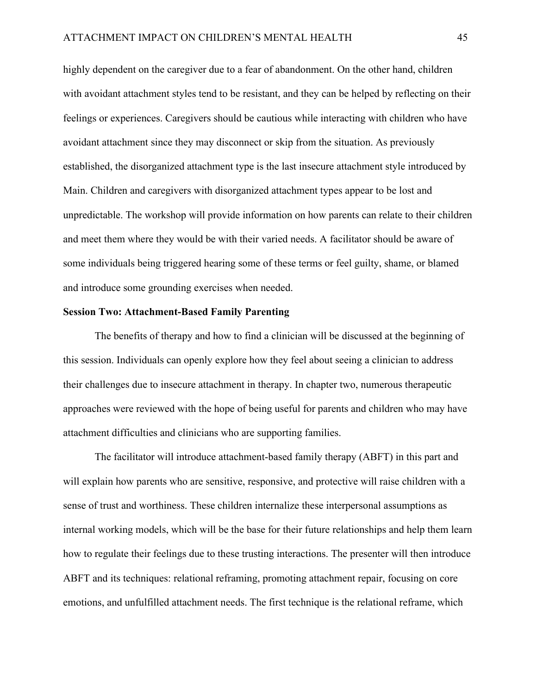highly dependent on the caregiver due to a fear of abandonment. On the other hand, children with avoidant attachment styles tend to be resistant, and they can be helped by reflecting on their feelings or experiences. Caregivers should be cautious while interacting with children who have avoidant attachment since they may disconnect or skip from the situation. As previously established, the disorganized attachment type is the last insecure attachment style introduced by Main. Children and caregivers with disorganized attachment types appear to be lost and unpredictable. The workshop will provide information on how parents can relate to their children and meet them where they would be with their varied needs. A facilitator should be aware of some individuals being triggered hearing some of these terms or feel guilty, shame, or blamed and introduce some grounding exercises when needed.

#### <span id="page-44-0"></span>**Session Two: Attachment-Based Family Parenting**

The benefits of therapy and how to find a clinician will be discussed at the beginning of this session. Individuals can openly explore how they feel about seeing a clinician to address their challenges due to insecure attachment in therapy. In chapter two, numerous therapeutic approaches were reviewed with the hope of being useful for parents and children who may have attachment difficulties and clinicians who are supporting families.

The facilitator will introduce attachment-based family therapy (ABFT) in this part and will explain how parents who are sensitive, responsive, and protective will raise children with a sense of trust and worthiness. These children internalize these interpersonal assumptions as internal working models, which will be the base for their future relationships and help them learn how to regulate their feelings due to these trusting interactions. The presenter will then introduce ABFT and its techniques: relational reframing, promoting attachment repair, focusing on core emotions, and unfulfilled attachment needs. The first technique is the relational reframe, which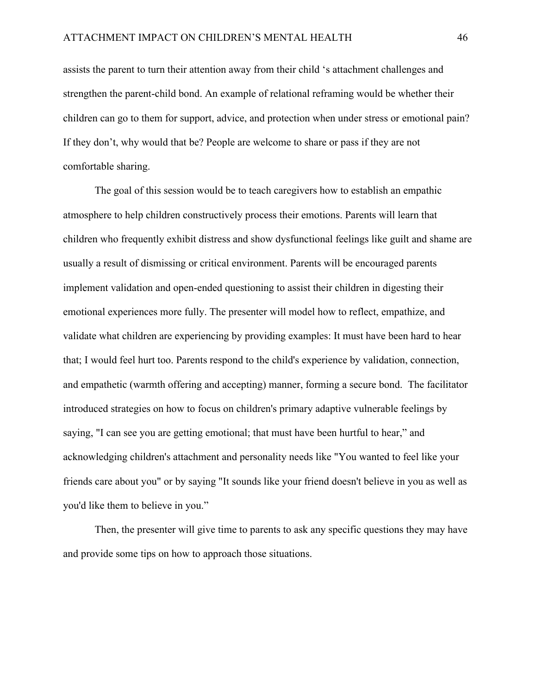assists the parent to turn their attention away from their child 's attachment challenges and strengthen the parent-child bond. An example of relational reframing would be whether their children can go to them for support, advice, and protection when under stress or emotional pain? If they don't, why would that be? People are welcome to share or pass if they are not comfortable sharing.

The goal of this session would be to teach caregivers how to establish an empathic atmosphere to help children constructively process their emotions. Parents will learn that children who frequently exhibit distress and show dysfunctional feelings like guilt and shame are usually a result of dismissing or critical environment. Parents will be encouraged parents implement validation and open-ended questioning to assist their children in digesting their emotional experiences more fully. The presenter will model how to reflect, empathize, and validate what children are experiencing by providing examples: It must have been hard to hear that; I would feel hurt too. Parents respond to the child's experience by validation, connection, and empathetic (warmth offering and accepting) manner, forming a secure bond. The facilitator introduced strategies on how to focus on children's primary adaptive vulnerable feelings by saying, "I can see you are getting emotional; that must have been hurtful to hear," and acknowledging children's attachment and personality needs like "You wanted to feel like your friends care about you" or by saying "It sounds like your friend doesn't believe in you as well as you'd like them to believe in you."

Then, the presenter will give time to parents to ask any specific questions they may have and provide some tips on how to approach those situations.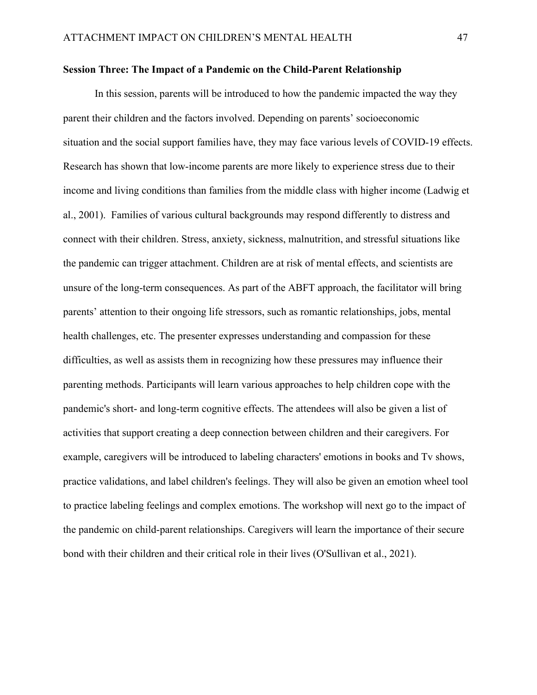#### <span id="page-46-0"></span>**Session Three: The Impact of a Pandemic on the Child-Parent Relationship**

In this session, parents will be introduced to how the pandemic impacted the way they parent their children and the factors involved. Depending on parents' socioeconomic situation and the social support families have, they may face various levels of COVID-19 effects. Research has shown that low-income parents are more likely to experience stress due to their income and living conditions than families from the middle class with higher income (Ladwig et al., 2001). Families of various cultural backgrounds may respond differently to distress and connect with their children. Stress, anxiety, sickness, malnutrition, and stressful situations like the pandemic can trigger attachment. Children are at risk of mental effects, and scientists are unsure of the long-term consequences. As part of the ABFT approach, the facilitator will bring parents' attention to their ongoing life stressors, such as romantic relationships, jobs, mental health challenges, etc. The presenter expresses understanding and compassion for these difficulties, as well as assists them in recognizing how these pressures may influence their parenting methods. Participants will learn various approaches to help children cope with the pandemic's short- and long-term cognitive effects. The attendees will also be given a list of activities that support creating a deep connection between children and their caregivers. For example, caregivers will be introduced to labeling characters' emotions in books and Tv shows, practice validations, and label children's feelings. They will also be given an emotion wheel tool to practice labeling feelings and complex emotions. The workshop will next go to the impact of the pandemic on child-parent relationships. Caregivers will learn the importance of their secure bond with their children and their critical role in their lives (O'Sullivan et al., 2021).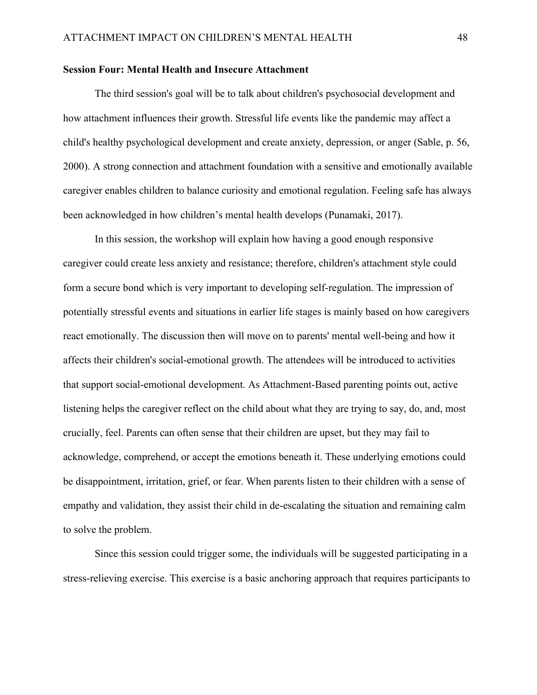# <span id="page-47-0"></span>**Session Four: Mental Health and Insecure Attachment**

The third session's goal will be to talk about children's psychosocial development and how attachment influences their growth. Stressful life events like the pandemic may affect a child's healthy psychological development and create anxiety, depression, or anger (Sable, p. 56, 2000). A strong connection and attachment foundation with a sensitive and emotionally available caregiver enables children to balance curiosity and emotional regulation. Feeling safe has always been acknowledged in how children's mental health develops (Punamaki, 2017).

In this session, the workshop will explain how having a good enough responsive caregiver could create less anxiety and resistance; therefore, children's attachment style could form a secure bond which is very important to developing self-regulation. The impression of potentially stressful events and situations in earlier life stages is mainly based on how caregivers react emotionally. The discussion then will move on to parents' mental well-being and how it affects their children's social-emotional growth. The attendees will be introduced to activities that support social-emotional development. As Attachment-Based parenting points out, active listening helps the caregiver reflect on the child about what they are trying to say, do, and, most crucially, feel. Parents can often sense that their children are upset, but they may fail to acknowledge, comprehend, or accept the emotions beneath it. These underlying emotions could be disappointment, irritation, grief, or fear. When parents listen to their children with a sense of empathy and validation, they assist their child in de-escalating the situation and remaining calm to solve the problem.

Since this session could trigger some, the individuals will be suggested participating in a stress-relieving exercise. This exercise is a basic anchoring approach that requires participants to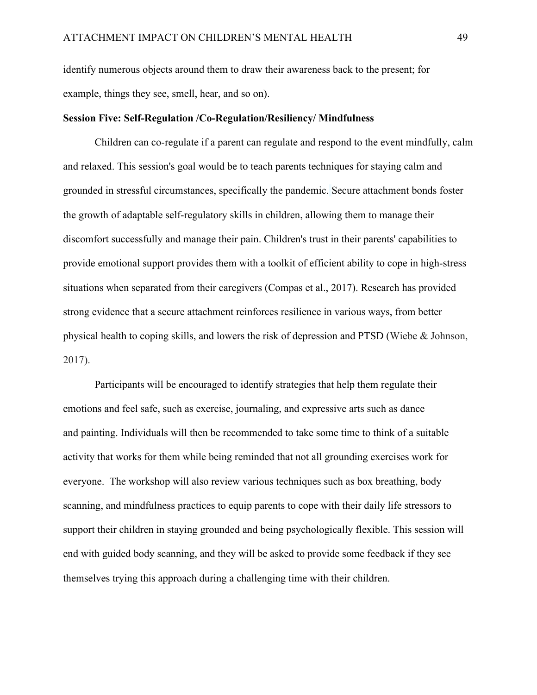identify numerous objects around them to draw their awareness back to the present; for example, things they see, smell, hear, and so on).

#### <span id="page-48-0"></span>**Session Five: Self-Regulation /Co-Regulation/Resiliency/ Mindfulness**

Children can co-regulate if a parent can regulate and respond to the event mindfully, calm and relaxed. This session's goal would be to teach parents techniques for staying calm and grounded in stressful circumstances, specifically the pandemic. Secure attachment bonds foster the growth of adaptable self-regulatory skills in children, allowing them to manage their discomfort successfully and manage their pain. Children's trust in their parents' capabilities to provide emotional support provides them with a toolkit of efficient ability to cope in high-stress situations when separated from their caregivers (Compas et al., 2017). Research has provided strong evidence that a secure attachment reinforces resilience in various ways, from better physical health to coping skills, and lowers the risk of depression and PTSD (Wiebe & Johnson, 2017).

Participants will be encouraged to identify strategies that help them regulate their emotions and feel safe, such as exercise, journaling, and expressive arts such as dance and painting. Individuals will then be recommended to take some time to think of a suitable activity that works for them while being reminded that not all grounding exercises work for everyone. The workshop will also review various techniques such as box breathing, body scanning, and mindfulness practices to equip parents to cope with their daily life stressors to support their children in staying grounded and being psychologically flexible. This session will end with guided body scanning, and they will be asked to provide some feedback if they see themselves trying this approach during a challenging time with their children.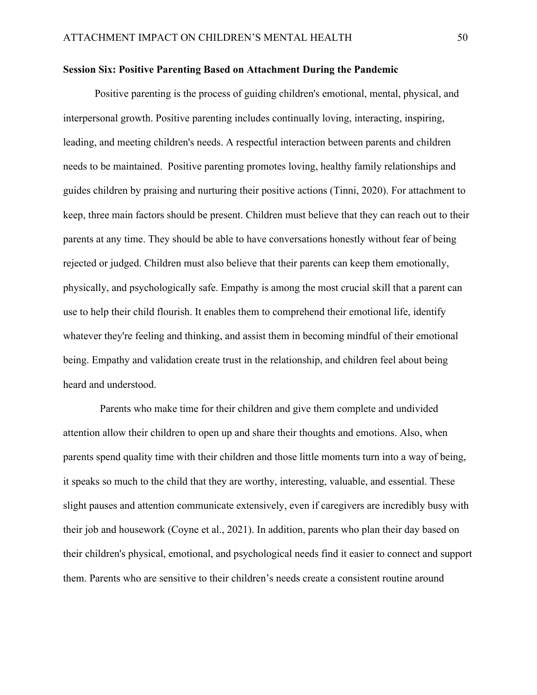#### <span id="page-49-0"></span>**Session Six: Positive Parenting Based on Attachment During the Pandemic**

Positive parenting is the process of guiding children's emotional, mental, physical, and interpersonal growth. Positive parenting includes continually loving, interacting, inspiring, leading, and meeting children's needs. A respectful interaction between parents and children needs to be maintained. Positive parenting promotes loving, healthy family relationships and guides children by praising and nurturing their positive actions (Tinni, 2020). For attachment to keep, three main factors should be present. Children must believe that they can reach out to their parents at any time. They should be able to have conversations honestly without fear of being rejected or judged. Children must also believe that their parents can keep them emotionally, physically, and psychologically safe. Empathy is among the most crucial skill that a parent can use to help their child flourish. It enables them to comprehend their emotional life, identify whatever they're feeling and thinking, and assist them in becoming mindful of their emotional being. Empathy and validation create trust in the relationship, and children feel about being heard and understood.

 Parents who make time for their children and give them complete and undivided attention allow their children to open up and share their thoughts and emotions. Also, when parents spend quality time with their children and those little moments turn into a way of being, it speaks so much to the child that they are worthy, interesting, valuable, and essential. These slight pauses and attention communicate extensively, even if caregivers are incredibly busy with their job and housework (Coyne et al., 2021). In addition, parents who plan their day based on their children's physical, emotional, and psychological needs find it easier to connect and support them. Parents who are sensitive to their children's needs create a consistent routine around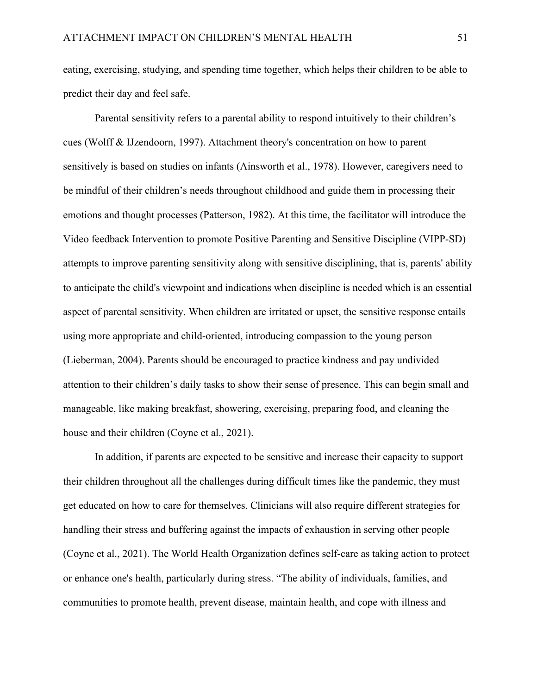eating, exercising, studying, and spending time together, which helps their children to be able to predict their day and feel safe.

Parental sensitivity refers to a parental ability to respond intuitively to their children's cues (Wolff & IJzendoorn, 1997). Attachment theory's concentration on how to parent sensitively is based on studies on infants (Ainsworth et al., 1978). However, caregivers need to be mindful of their children's needs throughout childhood and guide them in processing their emotions and thought processes (Patterson, 1982). At this time, the facilitator will introduce the Video feedback Intervention to promote Positive Parenting and Sensitive Discipline (VIPP-SD) attempts to improve parenting sensitivity along with sensitive disciplining, that is, parents' ability to anticipate the child's viewpoint and indications when discipline is needed which is an essential aspect of parental sensitivity. When children are irritated or upset, the sensitive response entails using more appropriate and child-oriented, introducing compassion to the young person (Lieberman, 2004). Parents should be encouraged to practice kindness and pay undivided attention to their children's daily tasks to show their sense of presence. This can begin small and manageable, like making breakfast, showering, exercising, preparing food, and cleaning the house and their children (Coyne et al., 2021).

In addition, if parents are expected to be sensitive and increase their capacity to support their children throughout all the challenges during difficult times like the pandemic, they must get educated on how to care for themselves. Clinicians will also require different strategies for handling their stress and buffering against the impacts of exhaustion in serving other people (Coyne et al., 2021). The World Health Organization defines self-care as taking action to protect or enhance one's health, particularly during stress. "The ability of individuals, families, and communities to promote health, prevent disease, maintain health, and cope with illness and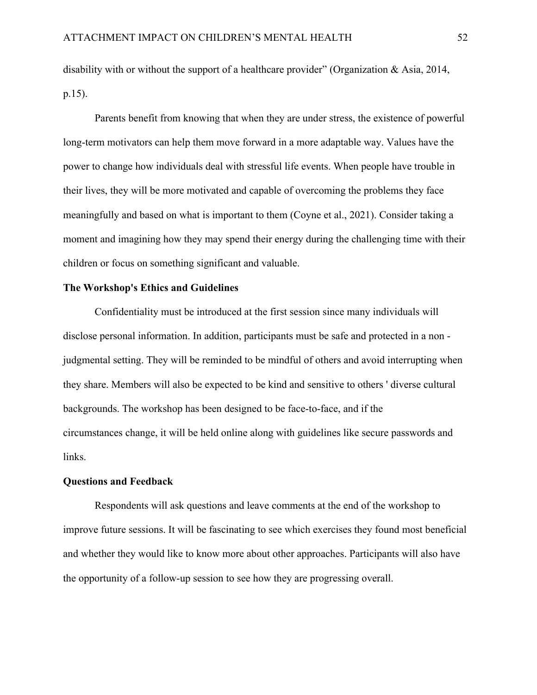disability with or without the support of a healthcare provider" (Organization & Asia, 2014, p.15).

Parents benefit from knowing that when they are under stress, the existence of powerful long-term motivators can help them move forward in a more adaptable way. Values have the power to change how individuals deal with stressful life events. When people have trouble in their lives, they will be more motivated and capable of overcoming the problems they face meaningfully and based on what is important to them (Coyne et al., 2021). Consider taking a moment and imagining how they may spend their energy during the challenging time with their children or focus on something significant and valuable.

# <span id="page-51-0"></span>**The Workshop's Ethics and Guidelines**

Confidentiality must be introduced at the first session since many individuals will disclose personal information. In addition, participants must be safe and protected in a non judgmental setting. They will be reminded to be mindful of others and avoid interrupting when they share. Members will also be expected to be kind and sensitive to others ' diverse cultural backgrounds. The workshop has been designed to be face-to-face, and if the circumstances change, it will be held online along with guidelines like secure passwords and links.

# <span id="page-51-1"></span>**Questions and Feedback**

Respondents will ask questions and leave comments at the end of the workshop to improve future sessions. It will be fascinating to see which exercises they found most beneficial and whether they would like to know more about other approaches. Participants will also have the opportunity of a follow-up session to see how they are progressing overall.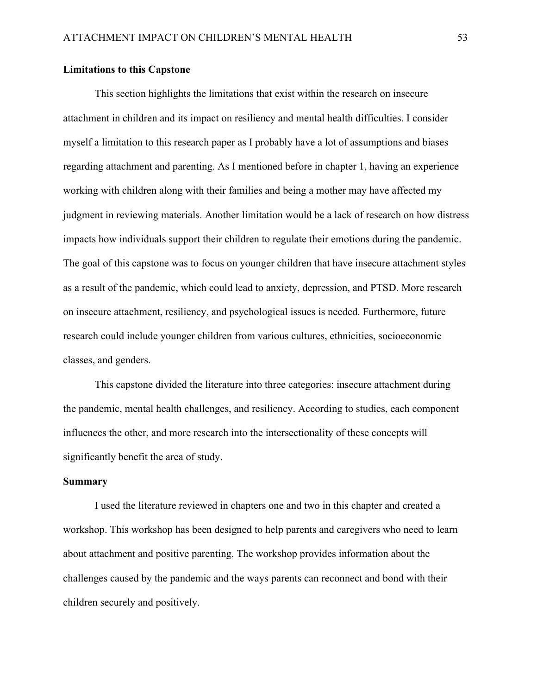# **Limitations to this Capstone**

This section highlights the limitations that exist within the research on insecure attachment in children and its impact on resiliency and mental health difficulties. I consider myself a limitation to this research paper as I probably have a lot of assumptions and biases regarding attachment and parenting. As I mentioned before in chapter 1, having an experience working with children along with their families and being a mother may have affected my judgment in reviewing materials. Another limitation would be a lack of research on how distress impacts how individuals support their children to regulate their emotions during the pandemic. The goal of this capstone was to focus on younger children that have insecure attachment styles as a result of the pandemic, which could lead to anxiety, depression, and PTSD. More research on insecure attachment, resiliency, and psychological issues is needed. Furthermore, future research could include younger children from various cultures, ethnicities, socioeconomic classes, and genders.

This capstone divided the literature into three categories: insecure attachment during the pandemic, mental health challenges, and resiliency. According to studies, each component influences the other, and more research into the intersectionality of these concepts will significantly benefit the area of study.

#### <span id="page-52-0"></span>**Summary**

I used the literature reviewed in chapters one and two in this chapter and created a workshop. This workshop has been designed to help parents and caregivers who need to learn about attachment and positive parenting. The workshop provides information about the challenges caused by the pandemic and the ways parents can reconnect and bond with their children securely and positively.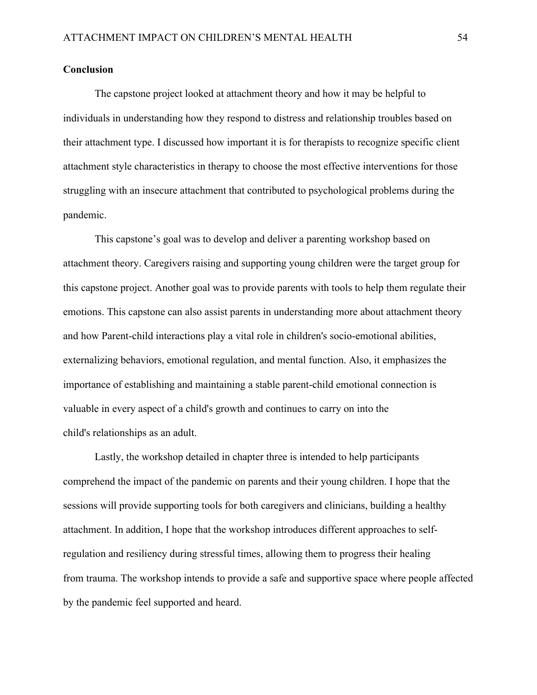# <span id="page-53-0"></span>**Conclusion**

The capstone project looked at attachment theory and how it may be helpful to individuals in understanding how they respond to distress and relationship troubles based on their attachment type. I discussed how important it is for therapists to recognize specific client attachment style characteristics in therapy to choose the most effective interventions for those struggling with an insecure attachment that contributed to psychological problems during the pandemic.

This capstone's goal was to develop and deliver a parenting workshop based on attachment theory. Caregivers raising and supporting young children were the target group for this capstone project. Another goal was to provide parents with tools to help them regulate their emotions. This capstone can also assist parents in understanding more about attachment theory and how Parent-child interactions play a vital role in children's socio-emotional abilities, externalizing behaviors, emotional regulation, and mental function. Also, it emphasizes the importance of establishing and maintaining a stable parent-child emotional connection is valuable in every aspect of a child's growth and continues to carry on into the child's relationships as an adult.

Lastly, the workshop detailed in chapter three is intended to help participants comprehend the impact of the pandemic on parents and their young children. I hope that the sessions will provide supporting tools for both caregivers and clinicians, building a healthy attachment. In addition, I hope that the workshop introduces different approaches to selfregulation and resiliency during stressful times, allowing them to progress their healing from trauma. The workshop intends to provide a safe and supportive space where people affected by the pandemic feel supported and heard.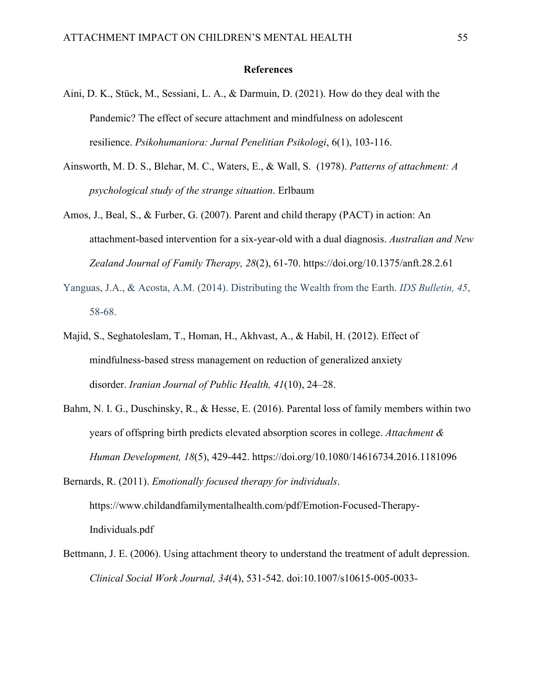#### **References**

- <span id="page-54-0"></span>Aini, D. K., Stück, M., Sessiani, L. A., & Darmuin, D. (2021). How do they deal with the Pandemic? The effect of secure attachment and mindfulness on adolescent resilience. *Psikohumaniora: Jurnal Penelitian Psikologi*, 6(1), 103-116.
- Ainsworth, M. D. S., Blehar, M. C., Waters, E., & Wall, S. (1978). *Patterns of attachment: A psychological study of the strange situation*. Erlbaum
- Amos, J., Beal, S., & Furber, G. (2007). Parent and child therapy (PACT) in action: An attachment-based intervention for a six-year-old with a dual diagnosis. *Australian and New Zealand Journal of Family Therapy, 28*(2), 61-70. <https://doi.org/10.1375/anft.28.2.61>
- Yanguas, J.A., & Acosta, A.M. (2014). Distributing the Wealth from the Earth. *IDS Bulletin, 45*, 58-68.
- Majid, S., Seghatoleslam, T., Homan, H., Akhvast, A., & Habil, H. (2012). Effect of mindfulness-based stress management on reduction of generalized anxiety disorder. *Iranian Journal of Public Health, 41*(10), 24–28.
- Bahm, N. I. G., Duschinsky, R., & Hesse, E. (2016). Parental loss of family members within two years of offspring birth predicts elevated absorption scores in college. *Attachment & Human Development, 18*(5), 429-442.<https://doi.org/10.1080/14616734.2016.1181096>
- Bernards, R. (2011). *Emotionally focused therapy for individuals*. https://www.childandfamilymentalhealth.com/pdf/Emotion-Focused-Therapy-Individuals.pdf
- Bettmann, J. E. (2006). Using attachment theory to understand the treatment of adult depression. *Clinical Social Work Journal, 34*(4), 531-542. doi:10.1007/s10615-005-0033-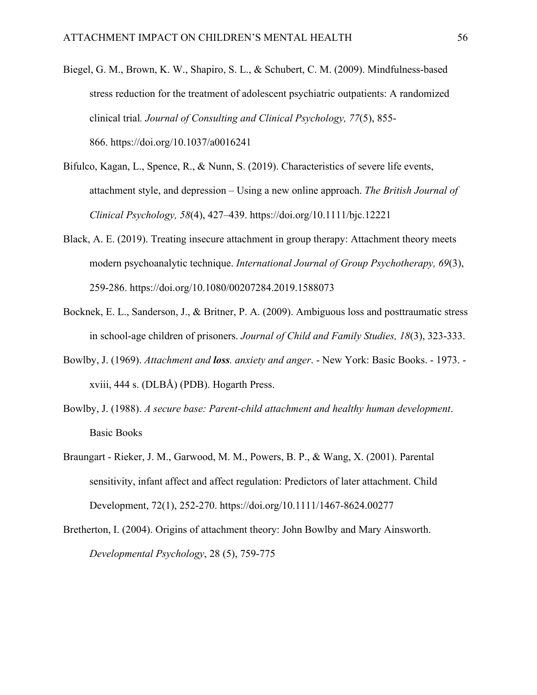- Biegel, G. M., Brown, K. W., Shapiro, S. L., & Schubert, C. M. (2009). Mindfulness-based stress reduction for the treatment of adolescent psychiatric outpatients: A randomized clinical trial*. Journal of Consulting and Clinical Psychology, 77*(5), 855- 866.<https://doi.org/10.1037/a0016241>
- Bifulco, Kagan, L., Spence, R., & Nunn, S. (2019). Characteristics of severe life events, attachment style, and depression – Using a new online approach. *The British Journal of Clinical Psychology, 58*(4), 427–439.<https://doi.org/10.1111/bjc.12221>
- Black, A. E. (2019). Treating insecure attachment in group therapy: Attachment theory meets modern psychoanalytic technique. *International Journal of Group Psychotherapy, 69*(3), 259-286.<https://doi.org/10.1080/00207284.2019.1588073>
- Bocknek, E. L., Sanderson, J., & Britner, P. A. (2009). Ambiguous loss and posttraumatic stress in school-age children of prisoners. *Journal of Child and Family Studies, 18*(3), 323-333.
- Bowlby, J. (1969). *Attachment and loss. anxiety and anger*. New York: Basic Books. 1973. xviii, 444 s. (DLBÅ) (PDB). Hogarth Press.
- Bowlby, J. (1988). *A secure base: Parent-child attachment and healthy human development*. Basic Books
- Braungart Rieker, J. M., Garwood, M. M., Powers, B. P., & Wang, X. (2001). Parental sensitivity, infant affect and affect regulation: Predictors of later attachment. Child Development, 72(1), 252-270.<https://doi.org/10.1111/1467-8624.00277>
- Bretherton, I. (2004). Origins of attachment theory: John Bowlby and Mary Ainsworth. *Developmental Psychology*, 28 (5), 759-775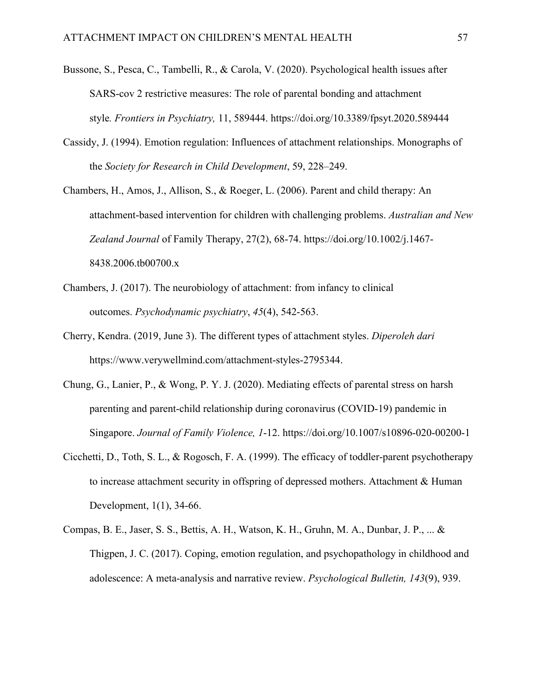- Bussone, S., Pesca, C., Tambelli, R., & Carola, V. (2020). Psychological health issues after SARS-cov 2 restrictive measures: The role of parental bonding and attachment style*. Frontiers in Psychiatry,* 11, 589444.<https://doi.org/10.3389/fpsyt.2020.589444>
- Cassidy, J. (1994). Emotion regulation: Influences of attachment relationships. Monographs of the *Society for Research in Child Development*, 59, 228–249.
- Chambers, H., Amos, J., Allison, S., & Roeger, L. (2006). Parent and child therapy: An attachment-based intervention for children with challenging problems. *Australian and New Zealand Journal* of Family Therapy, 27(2), 68-74. [https://doi.org/10.1002/j.1467-](https://doi.org/10.1002/j.1467-8438.2006.tb00700.x) [8438.2006.tb00700.x](https://doi.org/10.1002/j.1467-8438.2006.tb00700.x)
- Chambers, J. (2017). The neurobiology of attachment: from infancy to clinical outcomes. *Psychodynamic psychiatry*, *45*(4), 542-563.
- Cherry, Kendra. (2019, June 3). The different types of attachment styles. *Diperoleh dari* [https://www.verywellmind.com/attachment-styles-2795344.](https://www.verywellmind.com/attachment-styles-2795344)
- Chung, G., Lanier, P., & Wong, P. Y. J. (2020). Mediating effects of parental stress on harsh parenting and parent-child relationship during coronavirus (COVID-19) pandemic in Singapore. *Journal of Family Violence, 1*-12.<https://doi.org/10.1007/s10896-020-00200-1>
- Cicchetti, D., Toth, S. L., & Rogosch, F. A. (1999). The efficacy of toddler-parent psychotherapy to increase attachment security in offspring of depressed mothers. Attachment & Human Development, 1(1), 34-66.
- Compas, B. E., Jaser, S. S., Bettis, A. H., Watson, K. H., Gruhn, M. A., Dunbar, J. P., ... & Thigpen, J. C. (2017). Coping, emotion regulation, and psychopathology in childhood and adolescence: A meta-analysis and narrative review. *Psychological Bulletin, 143*(9), 939.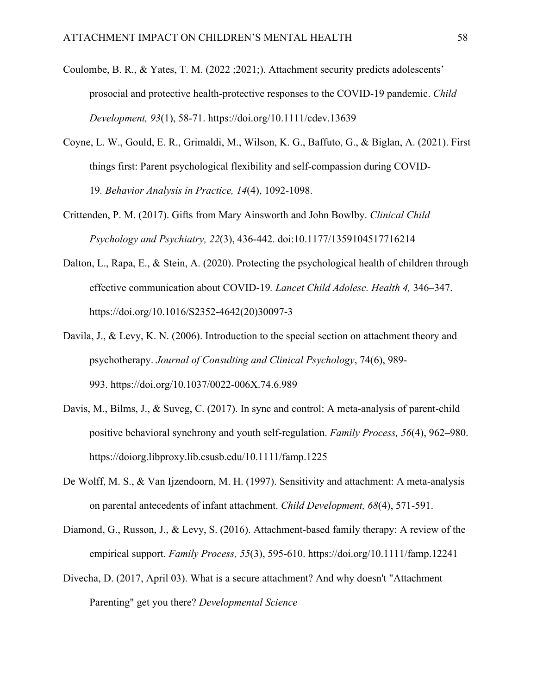- Coulombe, B. R., & Yates, T. M. (2022 ;2021;). Attachment security predicts adolescents' prosocial and protective health-protective responses to the COVID‐19 pandemic. *Child Development, 93*(1), 58-71.<https://doi.org/10.1111/cdev.13639>
- Coyne, L. W., Gould, E. R., Grimaldi, M., Wilson, K. G., Baffuto, G., & Biglan, A. (2021). First things first: Parent psychological flexibility and self-compassion during COVID-19*. Behavior Analysis in Practice, 14*(4), 1092-1098.
- Crittenden, P. M. (2017). Gifts from Mary Ainsworth and John Bowlby. *Clinical Child Psychology and Psychiatry, 22*(3), 436-442. doi:10.1177/1359104517716214
- Dalton, L., Rapa, E., & Stein, A. (2020). Protecting the psychological health of children through effective communication about COVID-19*. Lancet Child Adolesc. Health 4,* 346–347. https://doi.org/10.1016/S2352-4642(20)30097-3
- Davila, J., & Levy, K. N. (2006). Introduction to the special section on attachment theory and psychotherapy. *Journal of Consulting and Clinical Psychology*, 74(6), 989- 993.<https://doi.org/10.1037/0022-006X.74.6.989>
- Davis, M., Bilms, J., & Suveg, C. (2017). In sync and control: A meta-analysis of parent-child positive behavioral synchrony and youth self-regulation. *Family Process, 56*(4), 962–980. <https://doiorg.libproxy.lib.csusb.edu/10.1111/famp.1225>
- De Wolff, M. S., & Van Ijzendoorn, M. H. (1997). Sensitivity and attachment: A meta-analysis on parental antecedents of infant attachment. *Child Development, 68*(4), 571-591.
- Diamond, G., Russon, J., & Levy, S. (2016). Attachment-based family therapy: A review of the empirical support. *Family Process, 55*(3), 595-610.<https://doi.org/10.1111/famp.12241>
- Divecha, D. (2017, April 03). What is a secure attachment? And why doesn't "Attachment Parenting" get you there? *Developmental Science*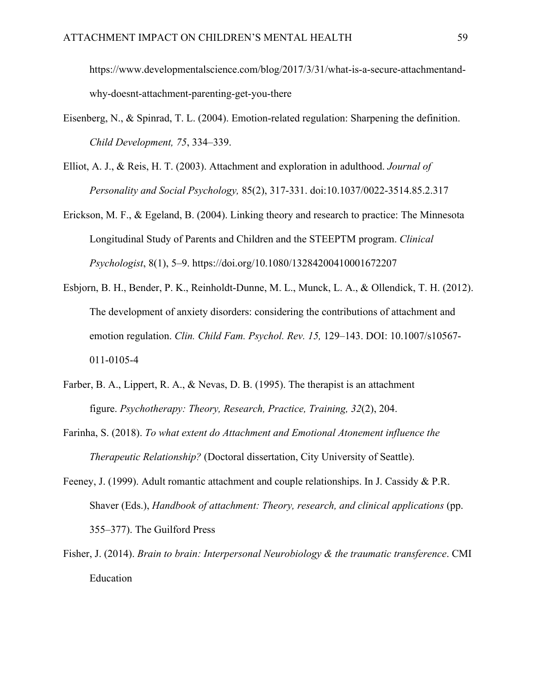https://www.developmentalscience.com/blog/2017/3/31/what-is-a-secure-attachmentandwhy-doesnt-attachment-parenting-get-you-there

- Eisenberg, N., & Spinrad, T. L. (2004). Emotion-related regulation: Sharpening the definition. *Child Development, 75*, 334–339.
- Elliot, A. J., & Reis, H. T. (2003). Attachment and exploration in adulthood. *Journal of Personality and Social Psychology,* 85(2), 317-331. doi:10.1037/0022-3514.85.2.317
- Erickson, M. F., & Egeland, B. (2004). Linking theory and research to practice: The Minnesota Longitudinal Study of Parents and Children and the STEEPTM program. *Clinical Psychologist*, 8(1), 5–9.<https://doi.org/10.1080/13284200410001672207>
- Esbjorn, B. H., Bender, P. K., Reinholdt-Dunne, M. L., Munck, L. A., & Ollendick, T. H. (2012). The development of anxiety disorders: considering the contributions of attachment and emotion regulation. *Clin. Child Fam. Psychol. Rev. 15,* 129–143. DOI: 10.1007/s10567- 011-0105-4
- Farber, B. A., Lippert, R. A., & Nevas, D. B. (1995). The therapist is an attachment figure. *Psychotherapy: Theory, Research, Practice, Training, 32*(2), 204.
- Farinha, S. (2018). *To what extent do Attachment and Emotional Atonement influence the Therapeutic Relationship?* (Doctoral dissertation, City University of Seattle).
- Feeney, J. (1999). Adult romantic attachment and couple relationships. In J. Cassidy & P.R. Shaver (Eds.), *Handbook of attachment: Theory, research, and clinical applications* (pp. 355–377). The Guilford Press
- Fisher, J. (2014). *Brain to brain: Interpersonal Neurobiology & the traumatic transference*. CMI Education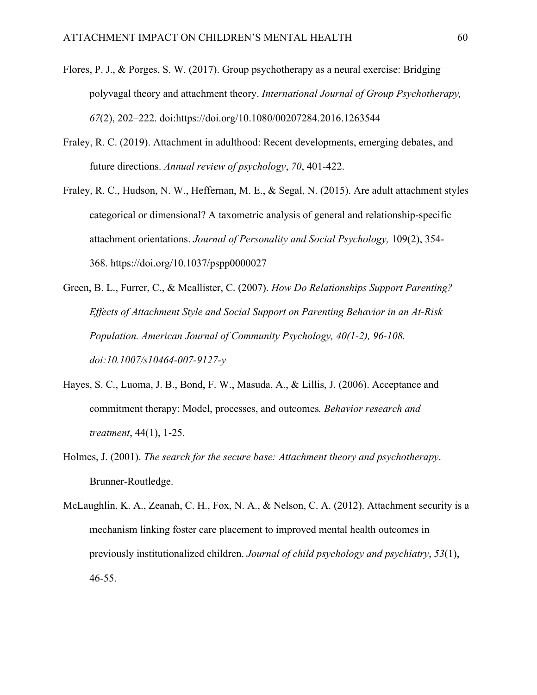- Flores, P. J., & Porges, S. W. (2017). Group psychotherapy as a neural exercise: Bridging polyvagal theory and attachment theory. *International Journal of Group Psychotherapy, 67*(2), 202–222. doi[:https://doi.org/10.1080/00207284.2016.1263544](https://doi.org/10.1080/00207284.2016.1263544)
- Fraley, R. C. (2019). Attachment in adulthood: Recent developments, emerging debates, and future directions. *Annual review of psychology*, *70*, 401-422.
- Fraley, R. C., Hudson, N. W., Heffernan, M. E., & Segal, N. (2015). Are adult attachment styles categorical or dimensional? A taxometric analysis of general and relationship-specific attachment orientations. *Journal of Personality and Social Psychology,* 109(2), 354- 368.<https://doi.org/10.1037/pspp0000027>
- Green, B. L., Furrer, C., & Mcallister, C. (2007). *How Do Relationships Support Parenting? Effects of Attachment Style and Social Support on Parenting Behavior in an At-Risk Population. American Journal of Community Psychology, 40(1-2), 96-108. doi:10.1007/s10464-007-9127-y*
- Hayes, S. C., Luoma, J. B., Bond, F. W., Masuda, A., & Lillis, J. (2006). Acceptance and commitment therapy: Model, processes, and outcomes*. Behavior research and treatment*, 44(1), 1-25.
- Holmes, J. (2001). *The search for the secure base: Attachment theory and psychotherapy*. Brunner-Routledge.
- McLaughlin, K. A., Zeanah, C. H., Fox, N. A., & Nelson, C. A. (2012). Attachment security is a mechanism linking foster care placement to improved mental health outcomes in previously institutionalized children. *Journal of child psychology and psychiatry*, *53*(1), 46-55.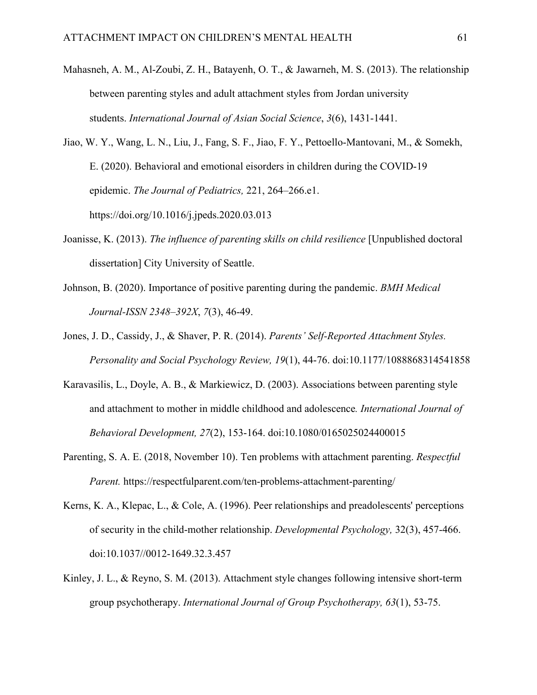- Mahasneh, A. M., Al-Zoubi, Z. H., Batayenh, O. T., & Jawarneh, M. S. (2013). The relationship between parenting styles and adult attachment styles from Jordan university students. *International Journal of Asian Social Science*, *3*(6), 1431-1441.
- Jiao, W. Y., Wang, L. N., Liu, J., Fang, S. F., Jiao, F. Y., Pettoello-Mantovani, M., & Somekh, E. (2020). Behavioral and emotional eisorders in children during the COVID-19 epidemic. *The Journal of Pediatrics,* 221, 264–266.e1. <https://doi.org/10.1016/j.jpeds.2020.03.013>
- Joanisse, K. (2013). *The influence of parenting skills on child resilience* [Unpublished doctoral dissertation] City University of Seattle.
- Johnson, B. (2020). Importance of positive parenting during the pandemic. *BMH Medical Journal-ISSN 2348–392X*, *7*(3), 46-49.
- Jones, J. D., Cassidy, J., & Shaver, P. R. (2014). *Parents' Self-Reported Attachment Styles. Personality and Social Psychology Review, 19*(1), 44-76. doi:10.1177/1088868314541858
- Karavasilis, L., Doyle, A. B., & Markiewicz, D. (2003). Associations between parenting style and attachment to mother in middle childhood and adolescence*. International Journal of Behavioral Development, 27*(2), 153-164. doi:10.1080/0165025024400015
- Parenting, S. A. E. (2018, November 10). Ten problems with attachment parenting. *Respectful Parent.* https://respectfulparent.com/ten-problems-attachment-parenting/
- Kerns, K. A., Klepac, L., & Cole, A. (1996). Peer relationships and preadolescents' perceptions of security in the child-mother relationship. *Developmental Psychology,* 32(3), 457-466. doi:10.1037//0012-1649.32.3.457
- Kinley, J. L., & Reyno, S. M. (2013). Attachment style changes following intensive short-term group psychotherapy. *International Journal of Group Psychotherapy, 63*(1), 53-75.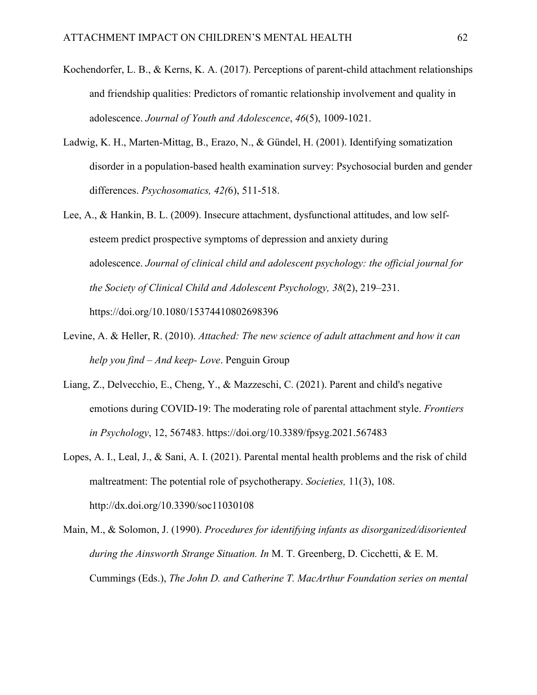- Kochendorfer, L. B., & Kerns, K. A. (2017). Perceptions of parent-child attachment relationships and friendship qualities: Predictors of romantic relationship involvement and quality in adolescence. *Journal of Youth and Adolescence*, *46*(5), 1009-1021.
- Ladwig, K. H., Marten-Mittag, B., Erazo, N., & Gündel, H. (2001). Identifying somatization disorder in a population-based health examination survey: Psychosocial burden and gender differences. *Psychosomatics, 42(*6), 511-518.
- Lee, A., & Hankin, B. L. (2009). Insecure attachment, dysfunctional attitudes, and low selfesteem predict prospective symptoms of depression and anxiety during adolescence. *Journal of clinical child and adolescent psychology: the official journal for the Society of Clinical Child and Adolescent Psychology, 38*(2), 219–231. https://doi.org/10.1080/15374410802698396
- Levine, A. & Heller, R. (2010). *Attached: The new science of adult attachment and how it can help you find – And keep- Love*. Penguin Group
- Liang, Z., Delvecchio, E., Cheng, Y., & Mazzeschi, C. (2021). Parent and child's negative emotions during COVID-19: The moderating role of parental attachment style. *Frontiers in Psychology*, 12, 567483.<https://doi.org/10.3389/fpsyg.2021.567483>
- Lopes, A. I., Leal, J., & Sani, A. I. (2021). Parental mental health problems and the risk of child maltreatment: The potential role of psychotherapy. *Societies,* 11(3), 108. http://dx.doi.org/10.3390/soc11030108

Main, M., & Solomon, J. (1990). *Procedures for identifying infants as disorganized/disoriented during the Ainsworth Strange Situation. In* M. T. Greenberg, D. Cicchetti, & E. M. Cummings (Eds.), *The John D. and Catherine T. MacArthur Foundation series on mental*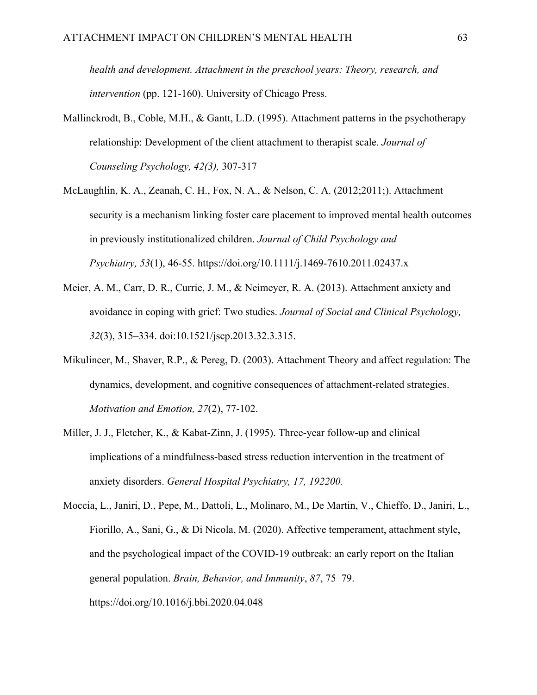*health and development. Attachment in the preschool years: Theory, research, and intervention* (pp. 121-160). University of Chicago Press.

- Mallinckrodt, B., Coble, M.H., & Gantt, L.D. (1995). Attachment patterns in the psychotherapy relationship: Development of the client attachment to therapist scale. *Journal of Counseling Psychology, 42(3),* 307-317
- McLaughlin, K. A., Zeanah, C. H., Fox, N. A., & Nelson, C. A. (2012;2011;). Attachment security is a mechanism linking foster care placement to improved mental health outcomes in previously institutionalized children. *Journal of Child Psychology and Psychiatry, 53*(1), 46-55. <https://doi.org/10.1111/j.1469-7610.2011.02437.x>
- Meier, A. M., Carr, D. R., Currie, J. M., & Neimeyer, R. A. (2013). Attachment anxiety and avoidance in coping with grief: Two studies. *Journal of Social and Clinical Psychology, 32*(3), 315–334. doi:10.1521/jscp.2013.32.3.315.
- Mikulincer, M., Shaver, R.P., & Pereg, D. (2003). Attachment Theory and affect regulation: The dynamics, development, and cognitive consequences of attachment-related strategies. *Motivation and Emotion, 27*(2), 77-102.
- Miller, J. J., Fletcher, K., & Kabat-Zinn, J. (1995). Three-year follow-up and clinical implications of a mindfulness-based stress reduction intervention in the treatment of anxiety disorders. *General Hospital Psychiatry, 17, 192200.*
- Moccia, L., Janiri, D., Pepe, M., Dattoli, L., Molinaro, M., De Martin, V., Chieffo, D., Janiri, L., Fiorillo, A., Sani, G., & Di Nicola, M. (2020). Affective temperament, attachment style, and the psychological impact of the COVID-19 outbreak: an early report on the Italian general population. *Brain, Behavior, and Immunity*, *87*, 75–79. https://doi.org/10.1016/j.bbi.2020.04.048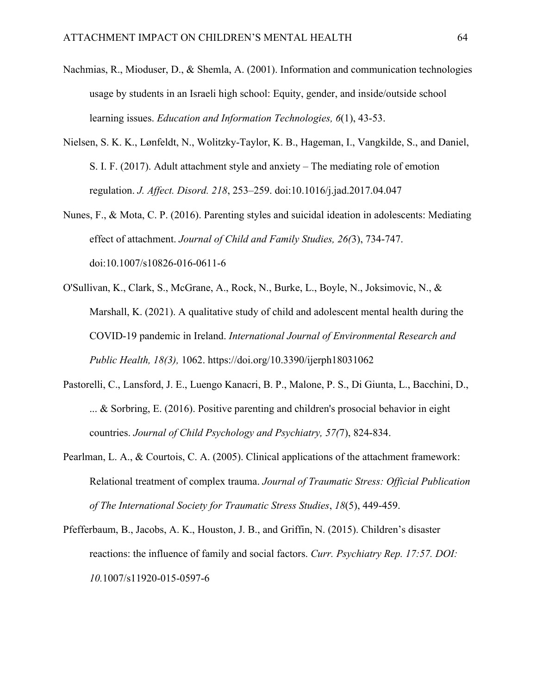- Nachmias, R., Mioduser, D., & Shemla, A. (2001). Information and communication technologies usage by students in an Israeli high school: Equity, gender, and inside/outside school learning issues. *Education and Information Technologies, 6*(1), 43-53.
- Nielsen, S. K. K., Lønfeldt, N., Wolitzky-Taylor, K. B., Hageman, I., Vangkilde, S., and Daniel, S. I. F. (2017). Adult attachment style and anxiety – The mediating role of emotion regulation. *J. Affect. Disord. 218*, 253–259. doi:10.1016/j.jad.2017.04.047
- Nunes, F., & Mota, C. P. (2016). Parenting styles and suicidal ideation in adolescents: Mediating effect of attachment. *Journal of Child and Family Studies, 26(*3), 734-747. doi:10.1007/s10826-016-0611-6
- O'Sullivan, K., Clark, S., McGrane, A., Rock, N., Burke, L., Boyle, N., Joksimovic, N., & Marshall, K. (2021). A qualitative study of child and adolescent mental health during the COVID-19 pandemic in Ireland. *International Journal of Environmental Research and Public Health, 18(3),* 1062.<https://doi.org/10.3390/ijerph18031062>
- Pastorelli, C., Lansford, J. E., Luengo Kanacri, B. P., Malone, P. S., Di Giunta, L., Bacchini, D., ... & Sorbring, E. (2016). Positive parenting and children's prosocial behavior in eight countries. *Journal of Child Psychology and Psychiatry, 57(*7), 824-834.
- Pearlman, L. A., & Courtois, C. A. (2005). Clinical applications of the attachment framework: Relational treatment of complex trauma. *Journal of Traumatic Stress: Official Publication of The International Society for Traumatic Stress Studies*, *18*(5), 449-459.
- Pfefferbaum, B., Jacobs, A. K., Houston, J. B., and Griffin, N. (2015). Children's disaster reactions: the influence of family and social factors. *Curr. Psychiatry Rep. 17:57. DOI: 10.*1007/s11920-015-0597-6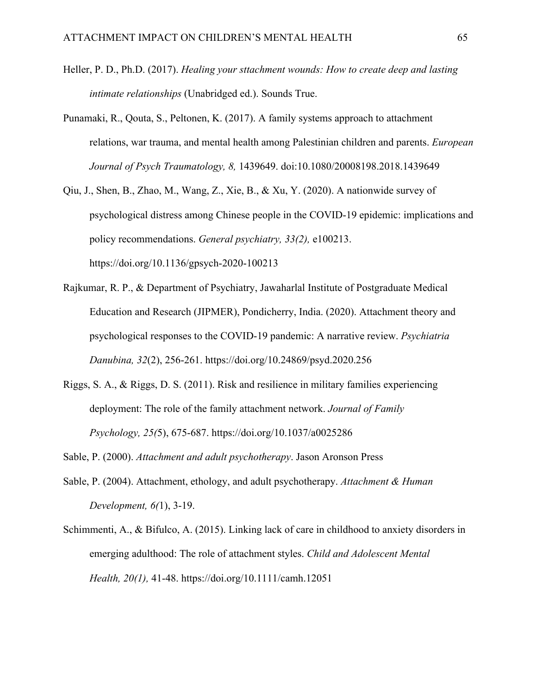- Heller, P. D., Ph.D. (2017). *Healing your sttachment wounds: How to create deep and lasting intimate relationships* (Unabridged ed.). Sounds True.
- Punamaki, R., Qouta, S., Peltonen, K. (2017). A family systems approach to attachment relations, war trauma, and mental health among Palestinian children and parents. *European Journal of Psych Traumatology, 8,* 1439649. doi:10.1080/20008198.2018.1439649
- Qiu, J., Shen, B., Zhao, M., Wang, Z., Xie, B., & Xu, Y. (2020). A nationwide survey of psychological distress among Chinese people in the COVID-19 epidemic: implications and policy recommendations. *General psychiatry, 33(2),* e100213. <https://doi.org/10.1136/gpsych-2020-100213>
- Rajkumar, R. P., & Department of Psychiatry, Jawaharlal Institute of Postgraduate Medical Education and Research (JIPMER), Pondicherry, India. (2020). Attachment theory and psychological responses to the COVID-19 pandemic: A narrative review. *Psychiatria Danubina, 32*(2), 256-261.<https://doi.org/10.24869/psyd.2020.256>
- Riggs, S. A., & Riggs, D. S. (2011). Risk and resilience in military families experiencing deployment: The role of the family attachment network. *Journal of Family Psychology, 25(*5), 675-687.<https://doi.org/10.1037/a0025286>
- Sable, P. (2000). *Attachment and adult psychotherapy*. Jason Aronson Press
- Sable, P. (2004). Attachment, ethology, and adult psychotherapy. *Attachment & Human Development, 6(*1), 3-19.
- Schimmenti, A., & Bifulco, A. (2015). Linking lack of care in childhood to anxiety disorders in emerging adulthood: The role of attachment styles. *Child and Adolescent Mental Health, 20(1),* 41-48.<https://doi.org/10.1111/camh.12051>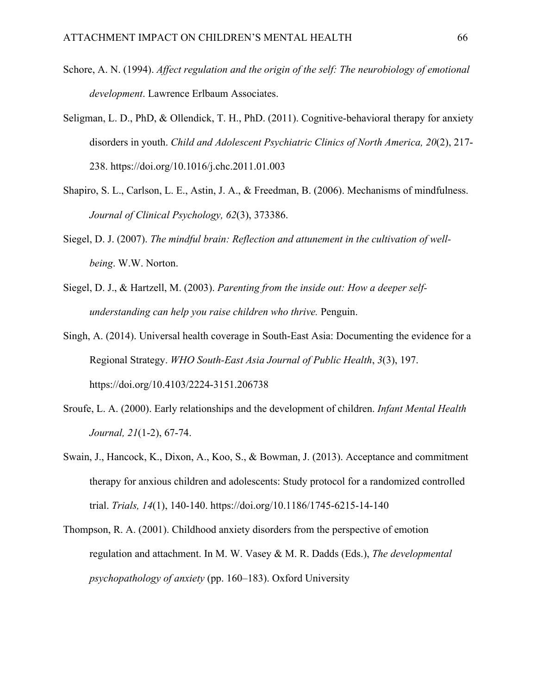- Schore, A. N. (1994). *Affect regulation and the origin of the self: The neurobiology of emotional development*. Lawrence Erlbaum Associates.
- Seligman, L. D., PhD, & Ollendick, T. H., PhD. (2011). Cognitive-behavioral therapy for anxiety disorders in youth. *Child and Adolescent Psychiatric Clinics of North America, 20*(2), 217- 238.<https://doi.org/10.1016/j.chc.2011.01.003>
- Shapiro, S. L., Carlson, L. E., Astin, J. A., & Freedman, B. (2006). Mechanisms of mindfulness. *Journal of Clinical Psychology, 62*(3), 373386.
- Siegel, D. J. (2007). *The mindful brain: Reflection and attunement in the cultivation of wellbeing*. W.W. Norton.
- Siegel, D. J., & Hartzell, M. (2003). *Parenting from the inside out: How a deeper selfunderstanding can help you raise children who thrive.* Penguin.
- Singh, A. (2014). Universal health coverage in South-East Asia: Documenting the evidence for a Regional Strategy. *WHO South-East Asia Journal of Public Health*, *3*(3), 197. https://doi.org/10.4103/2224-3151.206738
- Sroufe, L. A. (2000). Early relationships and the development of children. *Infant Mental Health Journal, 21*(1‐2), 67-74.
- Swain, J., Hancock, K., Dixon, A., Koo, S., & Bowman, J. (2013). Acceptance and commitment therapy for anxious children and adolescents: Study protocol for a randomized controlled trial. *Trials, 14*(1), 140-140.<https://doi.org/10.1186/1745-6215-14-140>
- Thompson, R. A. (2001). Childhood anxiety disorders from the perspective of emotion regulation and attachment. In M. W. Vasey & M. R. Dadds (Eds.), *The developmental psychopathology of anxiety* (pp. 160–183). Oxford University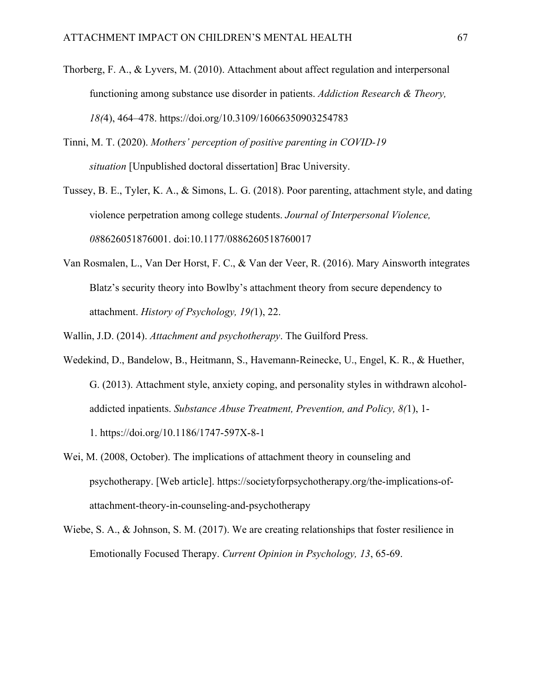- Thorberg, F. A., & Lyvers, M. (2010). Attachment about affect regulation and interpersonal functioning among substance use disorder in patients. *Addiction Research & Theory, 18(*4), 464–478. https://doi.org/10.3109/16066350903254783
- Tinni, M. T. (2020). *Mothers' perception of positive parenting in COVID-19 situation* [Unpublished doctoral dissertation] Brac University.
- Tussey, B. E., Tyler, K. A., & Simons, L. G. (2018). Poor parenting, attachment style, and dating violence perpetration among college students. *Journal of Interpersonal Violence, 08*8626051876001. doi:10.1177/0886260518760017
- Van Rosmalen, L., Van Der Horst, F. C., & Van der Veer, R. (2016). Mary Ainsworth integrates Blatz's security theory into Bowlby's attachment theory from secure dependency to attachment. *History of Psychology, 19(*1), 22.
- Wallin, J.D. (2014). *Attachment and psychotherapy*. The Guilford Press.
- Wedekind, D., Bandelow, B., Heitmann, S., Havemann-Reinecke, U., Engel, K. R., & Huether, G. (2013). Attachment style, anxiety coping, and personality styles in withdrawn alcoholaddicted inpatients. *Substance Abuse Treatment, Prevention, and Policy, 8(*1), 1- 1. https://doi.org/10.1186/1747-597X-8-1
- Wei, M. (2008, October). The implications of attachment theory in counseling and psychotherapy. [Web article]. https://societyforpsychotherapy.org/the-implications-ofattachment-theory-in-counseling-and-psychotherapy
- Wiebe, S. A., & Johnson, S. M. (2017). We are creating relationships that foster resilience in Emotionally Focused Therapy. *Current Opinion in Psychology, 13*, 65-69.